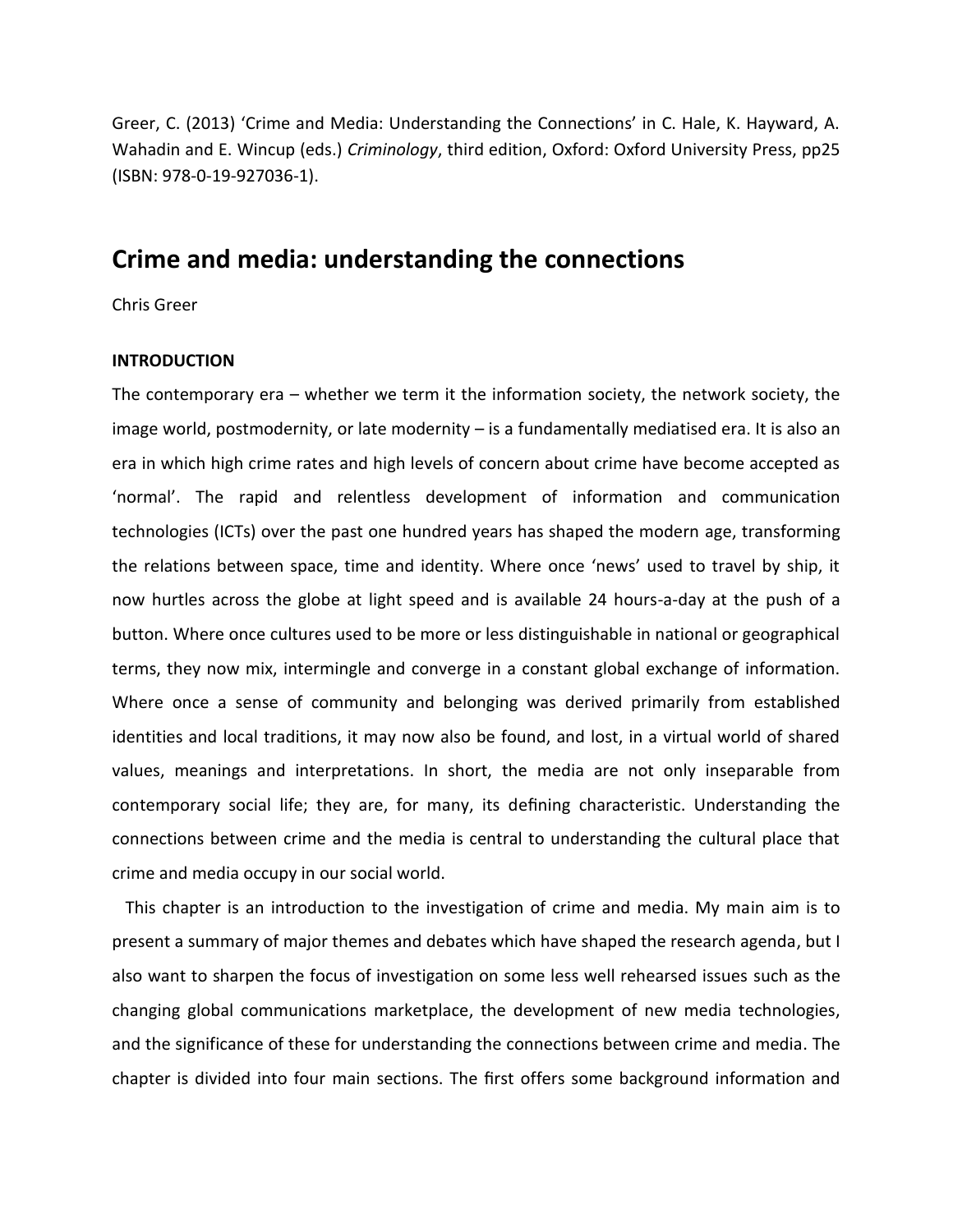Greer, C. (2013) 'Crime and Media: Understanding the Connections' in C. Hale, K. Hayward, A. Wahadin and E. Wincup (eds.) *Criminology*, third edition, Oxford: Oxford University Press, pp25 (ISBN: 978-0-19-927036-1).

# **Crime and media: understanding the connections**

Chris Greer

## **INTRODUCTION**

The contemporary era – whether we term it the information society, the network society, the image world, postmodernity, or late modernity – is a fundamentally mediatised era. It is also an era in which high crime rates and high levels of concern about crime have become accepted as 'normal'. The rapid and relentless development of information and communication technologies (ICTs) over the past one hundred years has shaped the modern age, transforming the relations between space, time and identity. Where once 'news' used to travel by ship, it now hurtles across the globe at light speed and is available 24 hours-a-day at the push of a button. Where once cultures used to be more or less distinguishable in national or geographical terms, they now mix, intermingle and converge in a constant global exchange of information. Where once a sense of community and belonging was derived primarily from established identities and local traditions, it may now also be found, and lost, in a virtual world of shared values, meanings and interpretations. In short, the media are not only inseparable from contemporary social life; they are, for many, its defining characteristic. Understanding the connections between crime and the media is central to understanding the cultural place that crime and media occupy in our social world.

This chapter is an introduction to the investigation of crime and media. My main aim is to present a summary of major themes and debates which have shaped the research agenda, but I also want to sharpen the focus of investigation on some less well rehearsed issues such as the changing global communications marketplace, the development of new media technologies, and the significance of these for understanding the connections between crime and media. The chapter is divided into four main sections. The first offers some background information and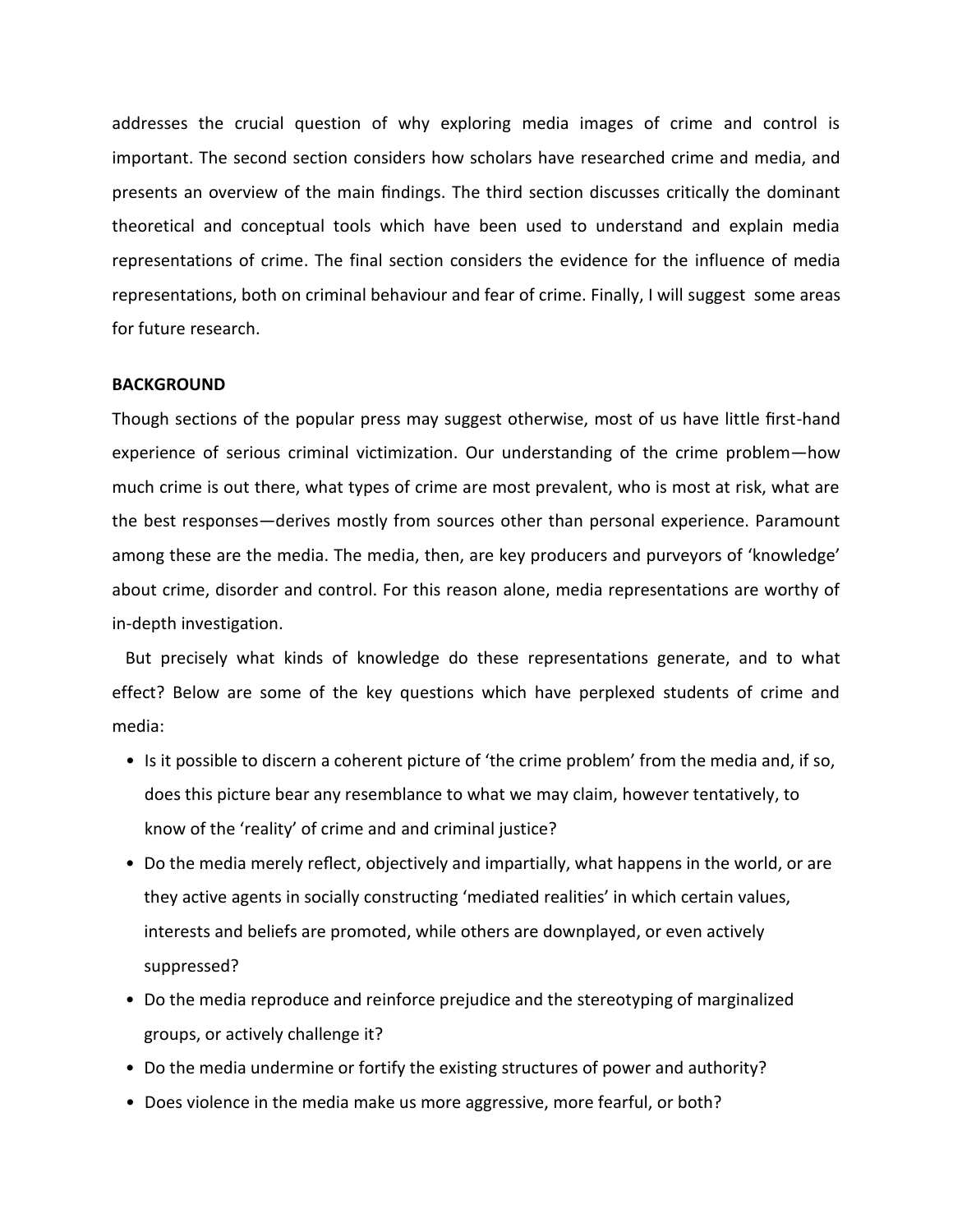addresses the crucial question of why exploring media images of crime and control is important. The second section considers how scholars have researched crime and media, and presents an overview of the main findings. The third section discusses critically the dominant theoretical and conceptual tools which have been used to understand and explain media representations of crime. The final section considers the evidence for the influence of media representations, both on criminal behaviour and fear of crime. Finally, I will suggest some areas for future research.

## **BACKGROUND**

Though sections of the popular press may suggest otherwise, most of us have little first-hand experience of serious criminal victimization. Our understanding of the crime problem—how much crime is out there, what types of crime are most prevalent, who is most at risk, what are the best responses—derives mostly from sources other than personal experience. Paramount among these are the media. The media, then, are key producers and purveyors of 'knowledge' about crime, disorder and control. For this reason alone, media representations are worthy of in-depth investigation.

But precisely what kinds of knowledge do these representations generate, and to what effect? Below are some of the key questions which have perplexed students of crime and media:

- Is it possible to discern a coherent picture of 'the crime problem' from the media and, if so, does this picture bear any resemblance to what we may claim, however tentatively, to know of the 'reality' of crime and and criminal justice?
- Do the media merely reflect, objectively and impartially, what happens in the world, or are they active agents in socially constructing 'mediated realities' in which certain values, interests and beliefs are promoted, while others are downplayed, or even actively suppressed?
- Do the media reproduce and reinforce prejudice and the stereotyping of marginalized groups, or actively challenge it?
- Do the media undermine or fortify the existing structures of power and authority?
- Does violence in the media make us more aggressive, more fearful, or both?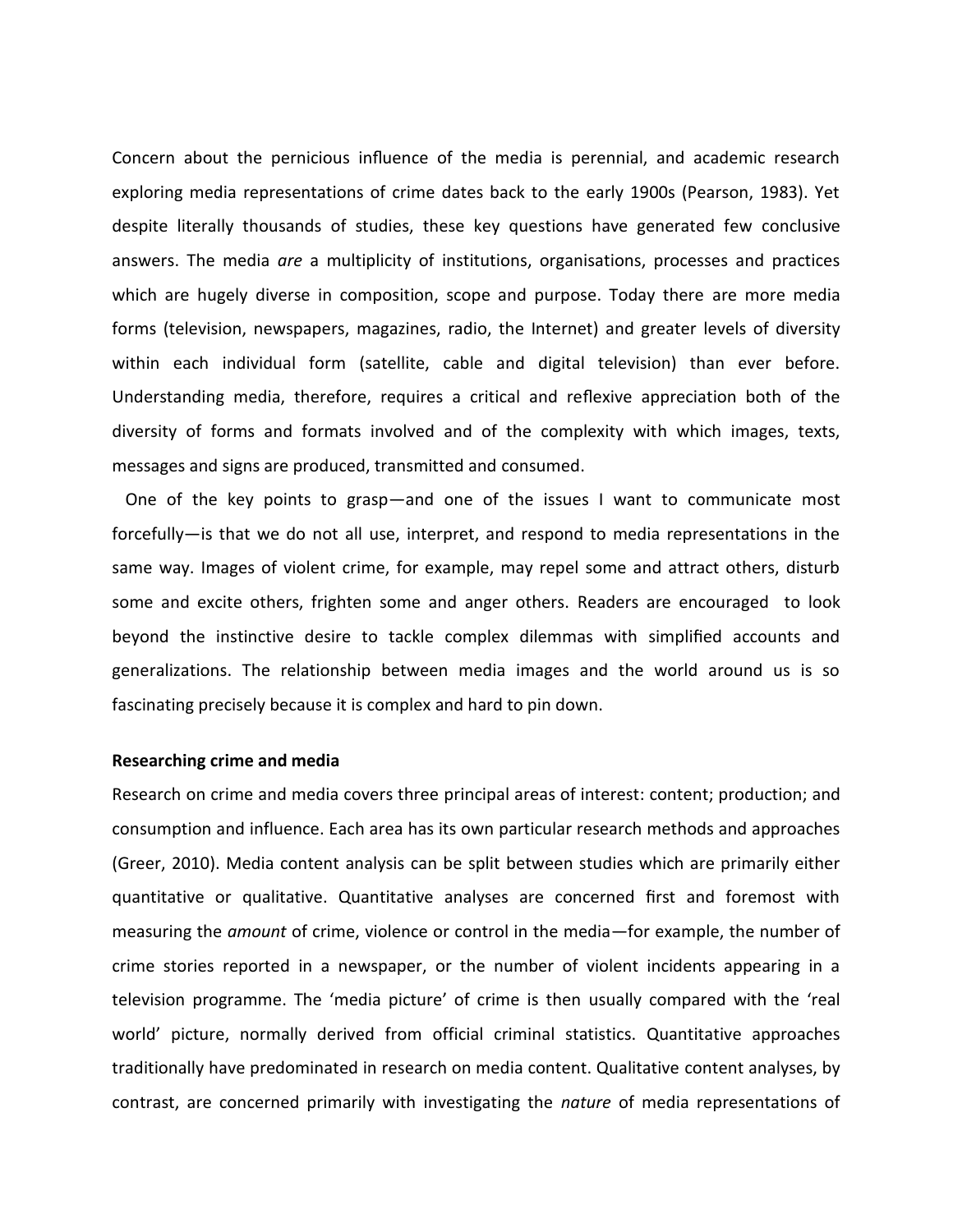Concern about the pernicious influence of the media is perennial, and academic research exploring media representations of crime dates back to the early 1900s (Pearson, 1983). Yet despite literally thousands of studies, these key questions have generated few conclusive answers. The media *are* a multiplicity of institutions, organisations, processes and practices which are hugely diverse in composition, scope and purpose. Today there are more media forms (television, newspapers, magazines, radio, the Internet) and greater levels of diversity within each individual form (satellite, cable and digital television) than ever before. Understanding media, therefore, requires a critical and reflexive appreciation both of the diversity of forms and formats involved and of the complexity with which images, texts, messages and signs are produced, transmitted and consumed.

One of the key points to grasp—and one of the issues I want to communicate most forcefully—is that we do not all use, interpret, and respond to media representations in the same way. Images of violent crime, for example, may repel some and attract others, disturb some and excite others, frighten some and anger others. Readers are encouraged to look beyond the instinctive desire to tackle complex dilemmas with simplified accounts and generalizations. The relationship between media images and the world around us is so fascinating precisely because it is complex and hard to pin down.

## **Researching crime and media**

Research on crime and media covers three principal areas of interest: content; production; and consumption and influence. Each area has its own particular research methods and approaches (Greer, 2010). Media content analysis can be split between studies which are primarily either quantitative or qualitative. Quantitative analyses are concerned first and foremost with measuring the *amount* of crime, violence or control in the media—for example, the number of crime stories reported in a newspaper, or the number of violent incidents appearing in a television programme. The 'media picture' of crime is then usually compared with the 'real world' picture, normally derived from official criminal statistics. Quantitative approaches traditionally have predominated in research on media content. Qualitative content analyses, by contrast, are concerned primarily with investigating the *nature* of media representations of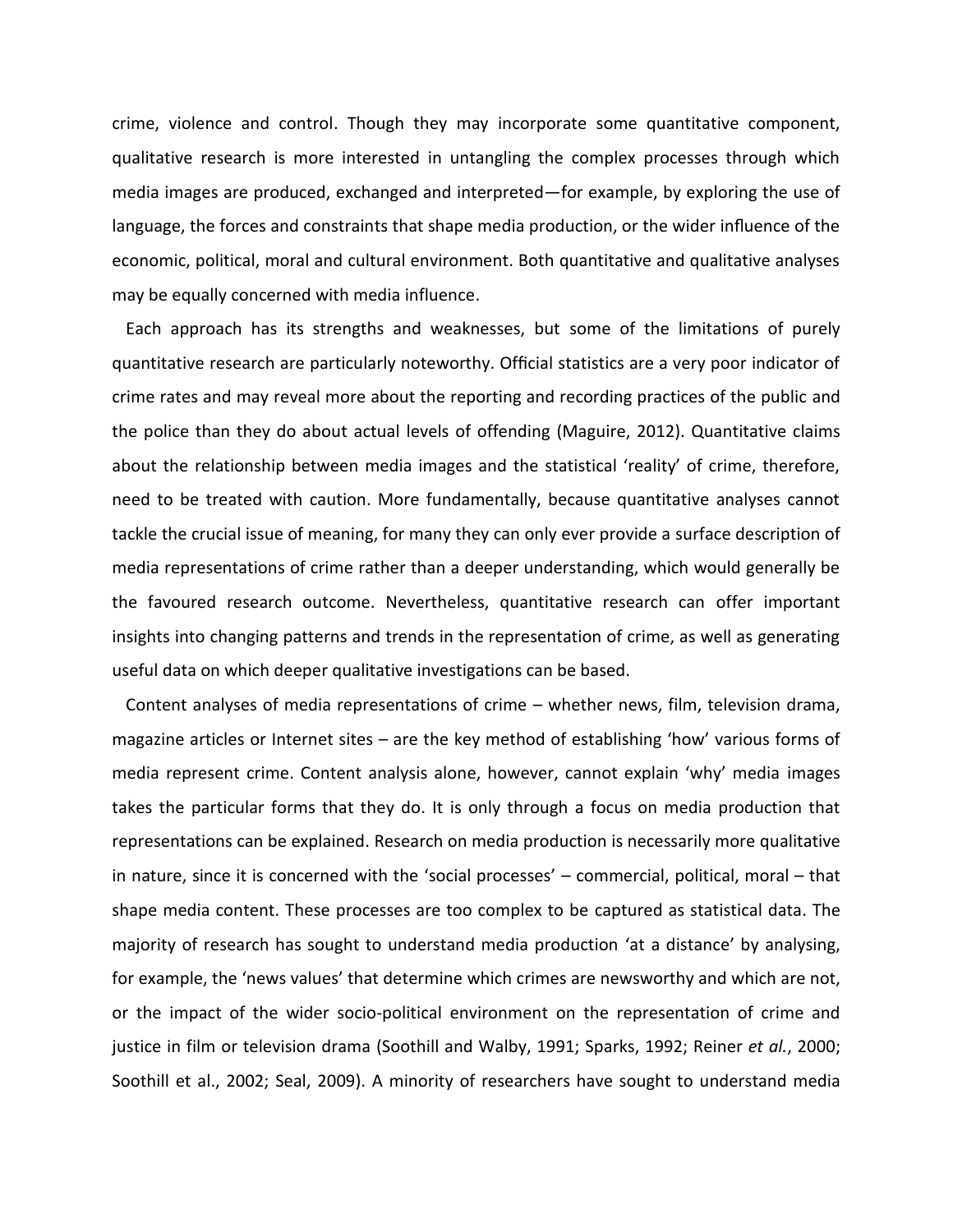crime, violence and control. Though they may incorporate some quantitative component, qualitative research is more interested in untangling the complex processes through which media images are produced, exchanged and interpreted—for example, by exploring the use of language, the forces and constraints that shape media production, or the wider influence of the economic, political, moral and cultural environment. Both quantitative and qualitative analyses may be equally concerned with media influence.

Each approach has its strengths and weaknesses, but some of the limitations of purely quantitative research are particularly noteworthy. Official statistics are a very poor indicator of crime rates and may reveal more about the reporting and recording practices of the public and the police than they do about actual levels of offending (Maguire, 2012). Quantitative claims about the relationship between media images and the statistical 'reality' of crime, therefore, need to be treated with caution. More fundamentally, because quantitative analyses cannot tackle the crucial issue of meaning, for many they can only ever provide a surface description of media representations of crime rather than a deeper understanding, which would generally be the favoured research outcome. Nevertheless, quantitative research can offer important insights into changing patterns and trends in the representation of crime, as well as generating useful data on which deeper qualitative investigations can be based.

Content analyses of media representations of crime – whether news, film, television drama, magazine articles or Internet sites – are the key method of establishing 'how' various forms of media represent crime. Content analysis alone, however, cannot explain 'why' media images takes the particular forms that they do. It is only through a focus on media production that representations can be explained. Research on media production is necessarily more qualitative in nature, since it is concerned with the 'social processes' – commercial, political, moral – that shape media content. These processes are too complex to be captured as statistical data. The majority of research has sought to understand media production 'at a distance' by analysing, for example, the 'news values' that determine which crimes are newsworthy and which are not, or the impact of the wider socio-political environment on the representation of crime and justice in film or television drama (Soothill and Walby, 1991; Sparks, 1992; Reiner *et al.*, 2000; Soothill et al., 2002; Seal, 2009). A minority of researchers have sought to understand media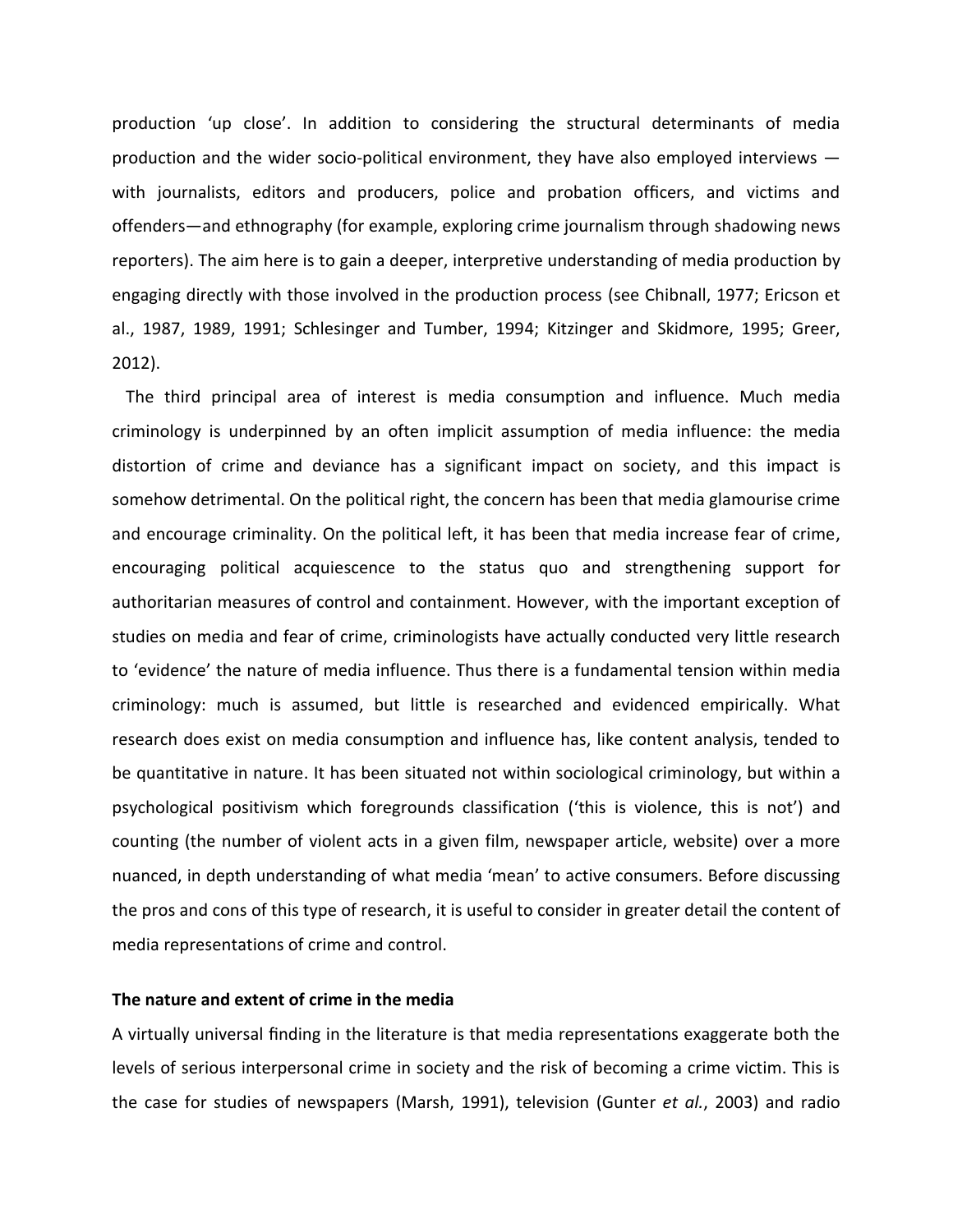production 'up close'. In addition to considering the structural determinants of media production and the wider socio-political environment, they have also employed interviews with journalists, editors and producers, police and probation officers, and victims and offenders—and ethnography (for example, exploring crime journalism through shadowing news reporters). The aim here is to gain a deeper, interpretive understanding of media production by engaging directly with those involved in the production process (see Chibnall, 1977; Ericson et al., 1987, 1989, 1991; Schlesinger and Tumber, 1994; Kitzinger and Skidmore, 1995; Greer, 2012).

The third principal area of interest is media consumption and influence. Much media criminology is underpinned by an often implicit assumption of media influence: the media distortion of crime and deviance has a significant impact on society, and this impact is somehow detrimental. On the political right, the concern has been that media glamourise crime and encourage criminality. On the political left, it has been that media increase fear of crime, encouraging political acquiescence to the status quo and strengthening support for authoritarian measures of control and containment. However, with the important exception of studies on media and fear of crime, criminologists have actually conducted very little research to 'evidence' the nature of media influence. Thus there is a fundamental tension within media criminology: much is assumed, but little is researched and evidenced empirically. What research does exist on media consumption and influence has, like content analysis, tended to be quantitative in nature. It has been situated not within sociological criminology, but within a psychological positivism which foregrounds classification ('this is violence, this is not') and counting (the number of violent acts in a given film, newspaper article, website) over a more nuanced, in depth understanding of what media 'mean' to active consumers. Before discussing the pros and cons of this type of research, it is useful to consider in greater detail the content of media representations of crime and control.

# **The nature and extent of crime in the media**

A virtually universal finding in the literature is that media representations exaggerate both the levels of serious interpersonal crime in society and the risk of becoming a crime victim. This is the case for studies of newspapers (Marsh, 1991), television (Gunter *et al.*, 2003) and radio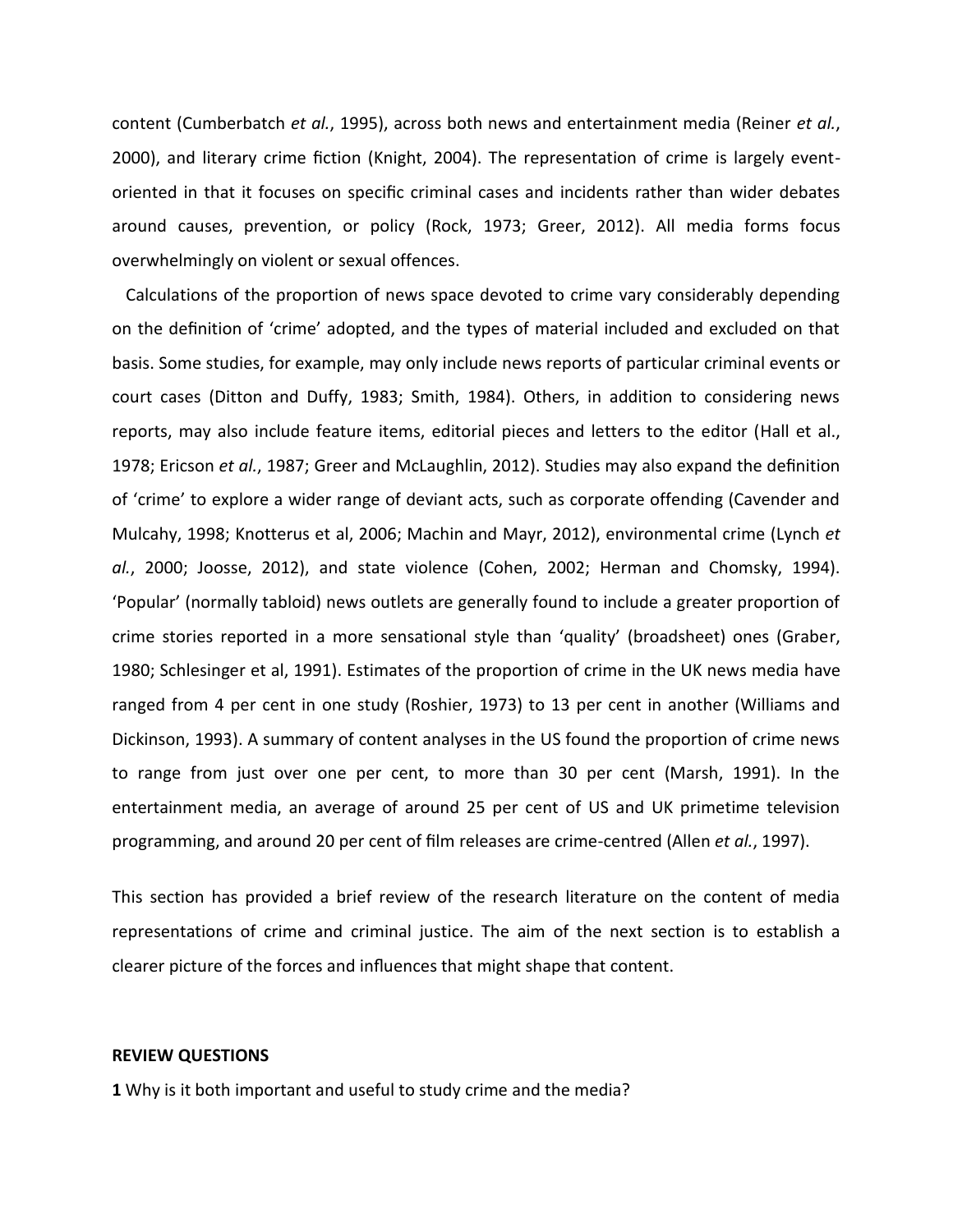content (Cumberbatch *et al.*, 1995), across both news and entertainment media (Reiner *et al.*, 2000), and literary crime fiction (Knight, 2004). The representation of crime is largely eventoriented in that it focuses on specific criminal cases and incidents rather than wider debates around causes, prevention, or policy (Rock, 1973; Greer, 2012). All media forms focus overwhelmingly on violent or sexual offences.

Calculations of the proportion of news space devoted to crime vary considerably depending on the definition of 'crime' adopted, and the types of material included and excluded on that basis. Some studies, for example, may only include news reports of particular criminal events or court cases (Ditton and Duffy, 1983; Smith, 1984). Others, in addition to considering news reports, may also include feature items, editorial pieces and letters to the editor (Hall et al., 1978; Ericson *et al.*, 1987; Greer and McLaughlin, 2012). Studies may also expand the definition of 'crime' to explore a wider range of deviant acts, such as corporate offending (Cavender and Mulcahy, 1998; Knotterus et al, 2006; Machin and Mayr, 2012), environmental crime (Lynch *et al.*, 2000; Joosse, 2012), and state violence (Cohen, 2002; Herman and Chomsky, 1994). 'Popular' (normally tabloid) news outlets are generally found to include a greater proportion of crime stories reported in a more sensational style than 'quality' (broadsheet) ones (Graber, 1980; Schlesinger et al, 1991). Estimates of the proportion of crime in the UK news media have ranged from 4 per cent in one study (Roshier, 1973) to 13 per cent in another (Williams and Dickinson, 1993). A summary of content analyses in the US found the proportion of crime news to range from just over one per cent, to more than 30 per cent (Marsh, 1991). In the entertainment media, an average of around 25 per cent of US and UK primetime television programming, and around 20 per cent of film releases are crime-centred (Allen *et al.*, 1997).

This section has provided a brief review of the research literature on the content of media representations of crime and criminal justice. The aim of the next section is to establish a clearer picture of the forces and influences that might shape that content.

#### **REVIEW QUESTIONS**

**1** Why is it both important and useful to study crime and the media?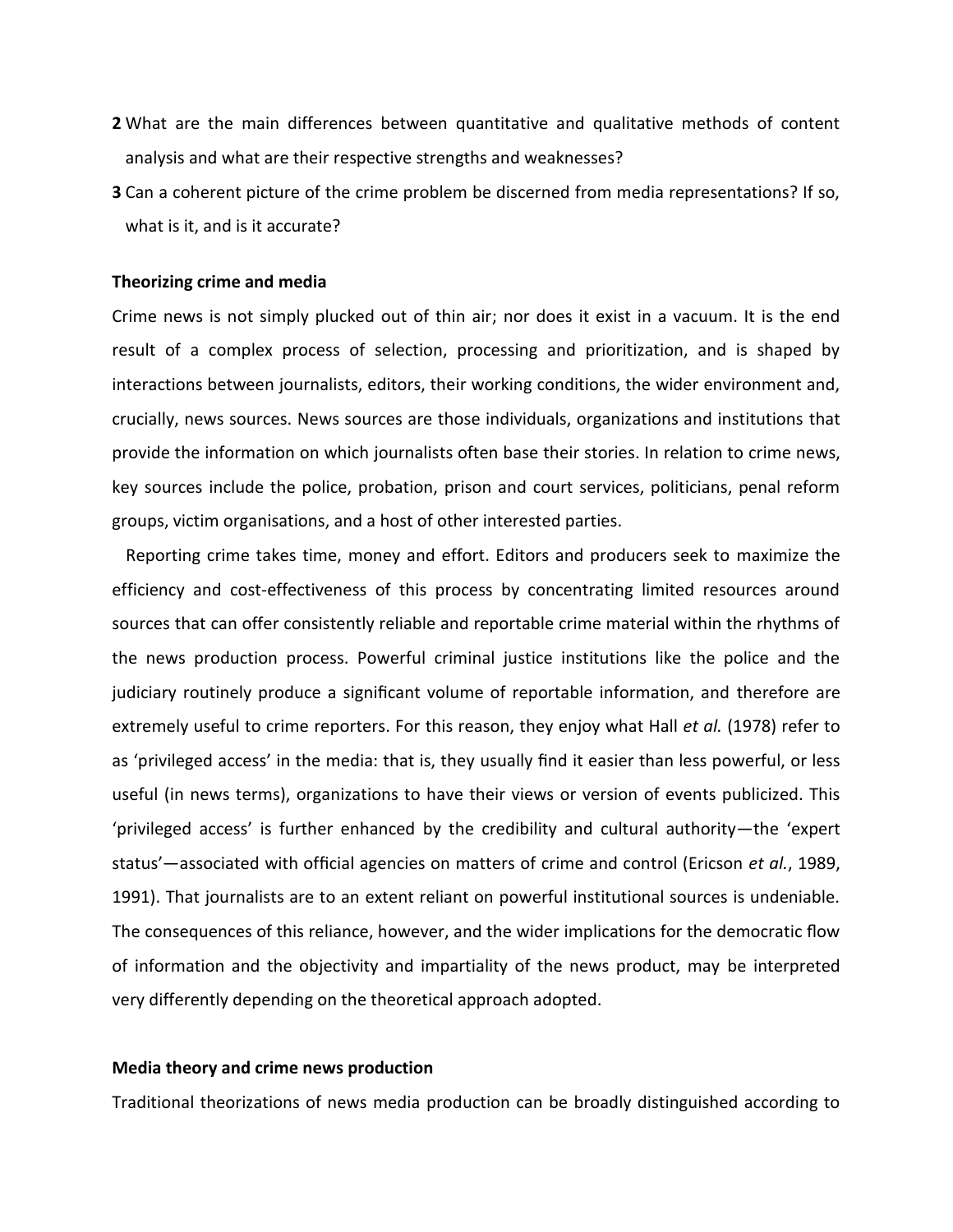- **2** What are the main differences between quantitative and qualitative methods of content analysis and what are their respective strengths and weaknesses?
- **3** Can a coherent picture of the crime problem be discerned from media representations? If so, what is it, and is it accurate?

## **Theorizing crime and media**

Crime news is not simply plucked out of thin air; nor does it exist in a vacuum. It is the end result of a complex process of selection, processing and prioritization, and is shaped by interactions between journalists, editors, their working conditions, the wider environment and, crucially, news sources. News sources are those individuals, organizations and institutions that provide the information on which journalists often base their stories. In relation to crime news, key sources include the police, probation, prison and court services, politicians, penal reform groups, victim organisations, and a host of other interested parties.

Reporting crime takes time, money and effort. Editors and producers seek to maximize the efficiency and cost-effectiveness of this process by concentrating limited resources around sources that can offer consistently reliable and reportable crime material within the rhythms of the news production process. Powerful criminal justice institutions like the police and the judiciary routinely produce a significant volume of reportable information, and therefore are extremely useful to crime reporters. For this reason, they enjoy what Hall *et al.* (1978) refer to as 'privileged access' in the media: that is, they usually find it easier than less powerful, or less useful (in news terms), organizations to have their views or version of events publicized. This 'privileged access' is further enhanced by the credibility and cultural authority—the 'expert status'—associated with official agencies on matters of crime and control (Ericson *et al.*, 1989, 1991). That journalists are to an extent reliant on powerful institutional sources is undeniable. The consequences of this reliance, however, and the wider implications for the democratic flow of information and the objectivity and impartiality of the news product, may be interpreted very differently depending on the theoretical approach adopted.

#### **Media theory and crime news production**

Traditional theorizations of news media production can be broadly distinguished according to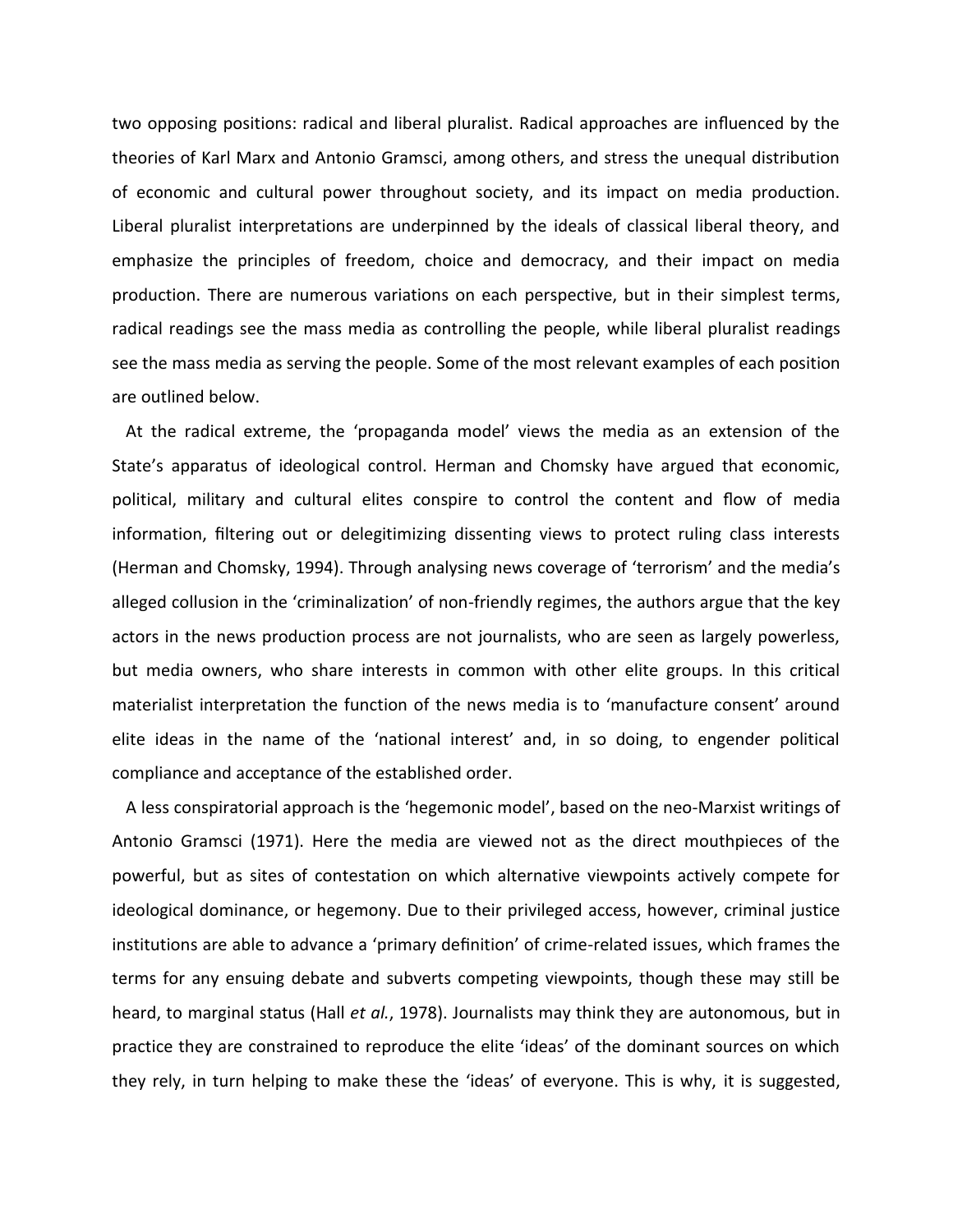two opposing positions: radical and liberal pluralist. Radical approaches are influenced by the theories of Karl Marx and Antonio Gramsci, among others, and stress the unequal distribution of economic and cultural power throughout society, and its impact on media production. Liberal pluralist interpretations are underpinned by the ideals of classical liberal theory, and emphasize the principles of freedom, choice and democracy, and their impact on media production. There are numerous variations on each perspective, but in their simplest terms, radical readings see the mass media as controlling the people, while liberal pluralist readings see the mass media as serving the people. Some of the most relevant examples of each position are outlined below.

At the radical extreme, the 'propaganda model' views the media as an extension of the State's apparatus of ideological control. Herman and Chomsky have argued that economic, political, military and cultural elites conspire to control the content and flow of media information, filtering out or delegitimizing dissenting views to protect ruling class interests (Herman and Chomsky, 1994). Through analysing news coverage of 'terrorism' and the media's alleged collusion in the 'criminalization' of non-friendly regimes, the authors argue that the key actors in the news production process are not journalists, who are seen as largely powerless, but media owners, who share interests in common with other elite groups. In this critical materialist interpretation the function of the news media is to 'manufacture consent' around elite ideas in the name of the 'national interest' and, in so doing, to engender political compliance and acceptance of the established order.

A less conspiratorial approach is the 'hegemonic model', based on the neo-Marxist writings of Antonio Gramsci (1971). Here the media are viewed not as the direct mouthpieces of the powerful, but as sites of contestation on which alternative viewpoints actively compete for ideological dominance, or hegemony. Due to their privileged access, however, criminal justice institutions are able to advance a 'primary definition' of crime-related issues, which frames the terms for any ensuing debate and subverts competing viewpoints, though these may still be heard, to marginal status (Hall *et al.*, 1978). Journalists may think they are autonomous, but in practice they are constrained to reproduce the elite 'ideas' of the dominant sources on which they rely, in turn helping to make these the 'ideas' of everyone. This is why, it is suggested,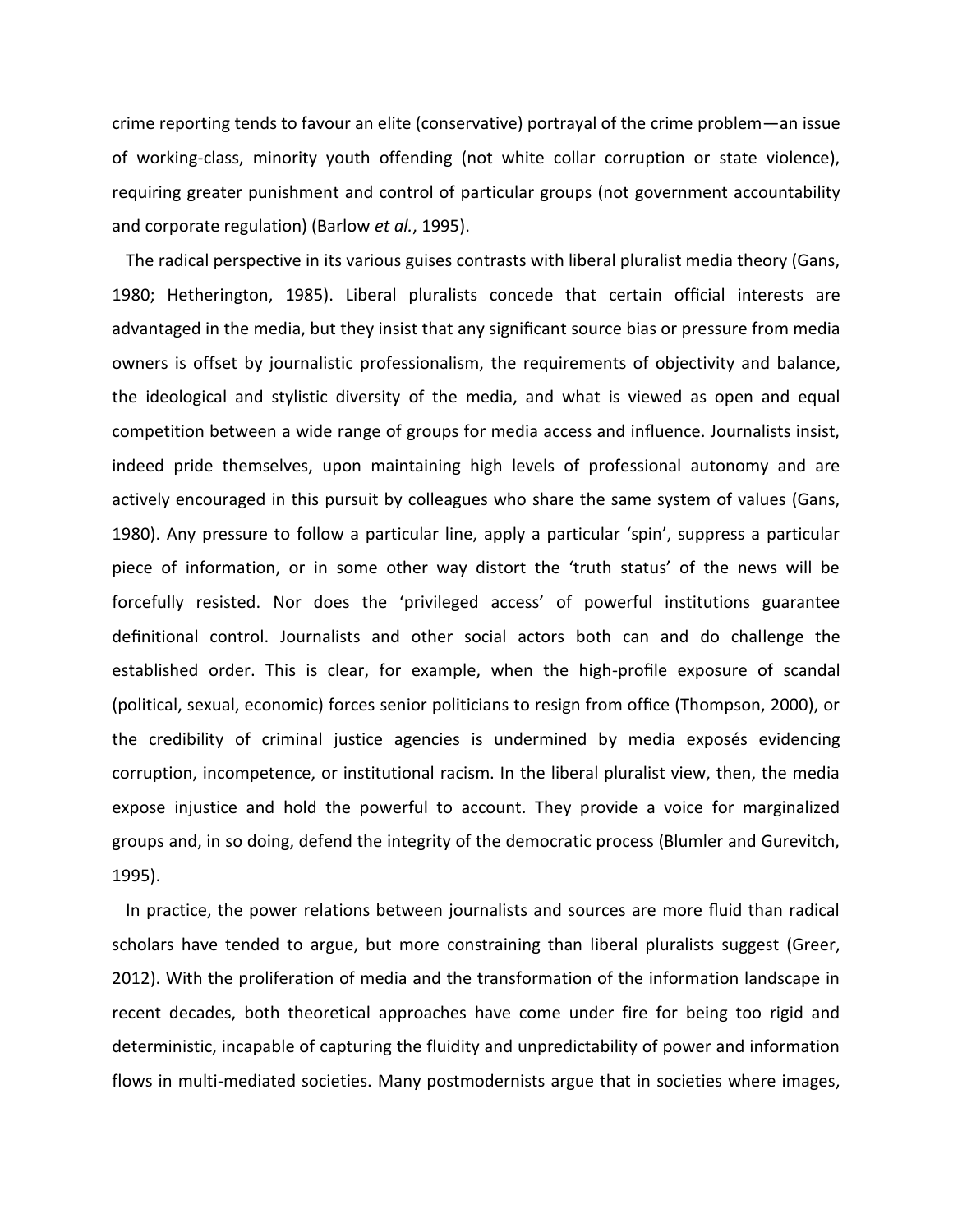crime reporting tends to favour an elite (conservative) portrayal of the crime problem—an issue of working-class, minority youth offending (not white collar corruption or state violence), requiring greater punishment and control of particular groups (not government accountability and corporate regulation) (Barlow *et al.*, 1995).

The radical perspective in its various guises contrasts with liberal pluralist media theory (Gans, 1980; Hetherington, 1985). Liberal pluralists concede that certain official interests are advantaged in the media, but they insist that any significant source bias or pressure from media owners is offset by journalistic professionalism, the requirements of objectivity and balance, the ideological and stylistic diversity of the media, and what is viewed as open and equal competition between a wide range of groups for media access and influence. Journalists insist, indeed pride themselves, upon maintaining high levels of professional autonomy and are actively encouraged in this pursuit by colleagues who share the same system of values (Gans, 1980). Any pressure to follow a particular line, apply a particular 'spin', suppress a particular piece of information, or in some other way distort the 'truth status' of the news will be forcefully resisted. Nor does the 'privileged access' of powerful institutions guarantee definitional control. Journalists and other social actors both can and do challenge the established order. This is clear, for example, when the high-profile exposure of scandal (political, sexual, economic) forces senior politicians to resign from office (Thompson, 2000), or the credibility of criminal justice agencies is undermined by media exposés evidencing corruption, incompetence, or institutional racism. In the liberal pluralist view, then, the media expose injustice and hold the powerful to account. They provide a voice for marginalized groups and, in so doing, defend the integrity of the democratic process (Blumler and Gurevitch, 1995).

In practice, the power relations between journalists and sources are more fluid than radical scholars have tended to argue, but more constraining than liberal pluralists suggest (Greer, 2012). With the proliferation of media and the transformation of the information landscape in recent decades, both theoretical approaches have come under fire for being too rigid and deterministic, incapable of capturing the fluidity and unpredictability of power and information flows in multi-mediated societies. Many postmodernists argue that in societies where images,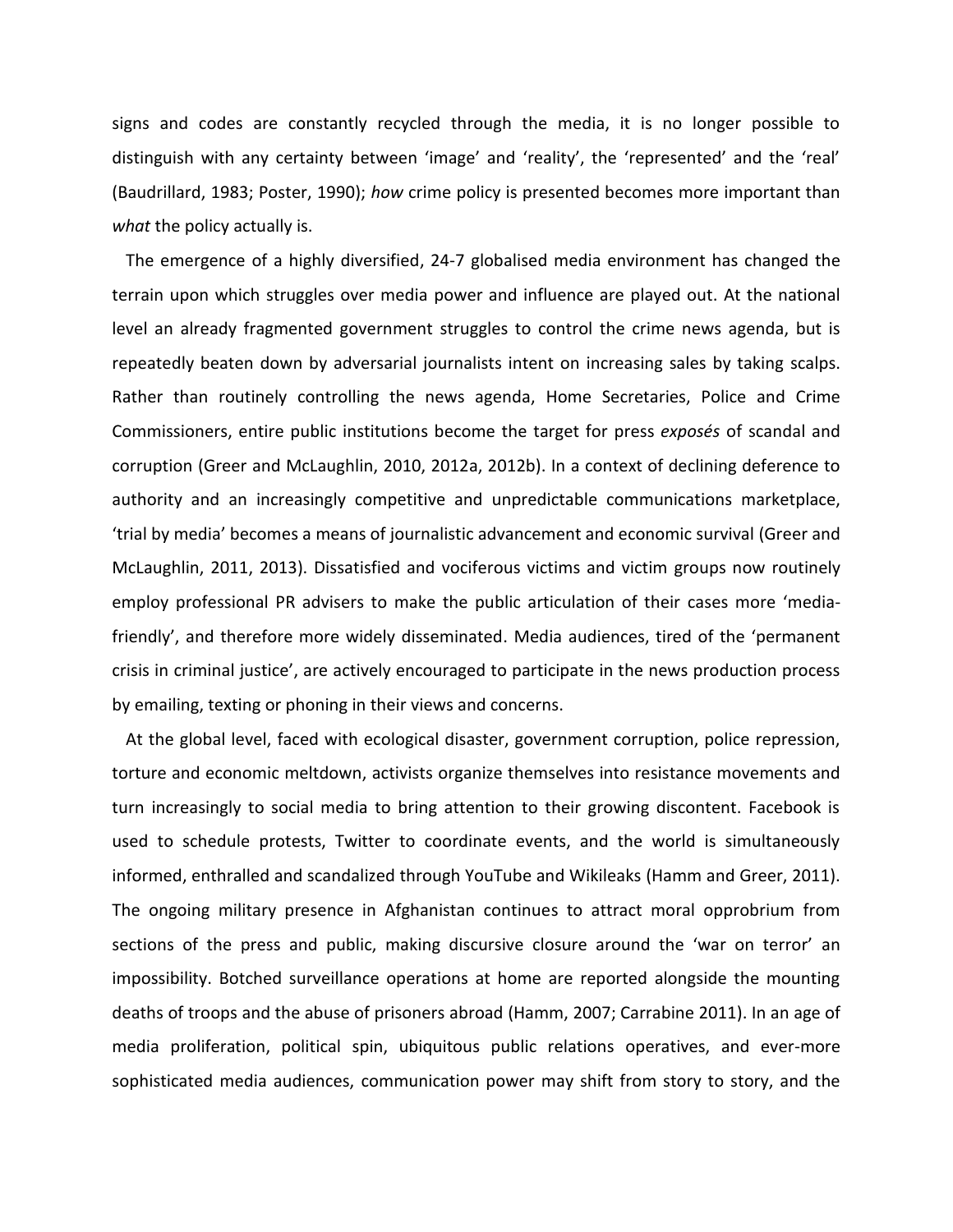signs and codes are constantly recycled through the media, it is no longer possible to distinguish with any certainty between 'image' and 'reality', the 'represented' and the 'real' (Baudrillard, 1983; Poster, 1990); *how* crime policy is presented becomes more important than *what* the policy actually is.

The emergence of a highly diversified, 24-7 globalised media environment has changed the terrain upon which struggles over media power and influence are played out. At the national level an already fragmented government struggles to control the crime news agenda, but is repeatedly beaten down by adversarial journalists intent on increasing sales by taking scalps. Rather than routinely controlling the news agenda, Home Secretaries, Police and Crime Commissioners, entire public institutions become the target for press *exposés* of scandal and corruption (Greer and McLaughlin, 2010, 2012a, 2012b). In a context of declining deference to authority and an increasingly competitive and unpredictable communications marketplace, 'trial by media' becomes a means of journalistic advancement and economic survival (Greer and McLaughlin, 2011, 2013). Dissatisfied and vociferous victims and victim groups now routinely employ professional PR advisers to make the public articulation of their cases more 'mediafriendly', and therefore more widely disseminated. Media audiences, tired of the 'permanent crisis in criminal justice', are actively encouraged to participate in the news production process by emailing, texting or phoning in their views and concerns.

At the global level, faced with ecological disaster, government corruption, police repression, torture and economic meltdown, activists organize themselves into resistance movements and turn increasingly to social media to bring attention to their growing discontent. Facebook is used to schedule protests, Twitter to coordinate events, and the world is simultaneously informed, enthralled and scandalized through YouTube and Wikileaks (Hamm and Greer, 2011). The ongoing military presence in Afghanistan continues to attract moral opprobrium from sections of the press and public, making discursive closure around the 'war on terror' an impossibility. Botched surveillance operations at home are reported alongside the mounting deaths of troops and the abuse of prisoners abroad (Hamm, 2007; Carrabine 2011). In an age of media proliferation, political spin, ubiquitous public relations operatives, and ever-more sophisticated media audiences, communication power may shift from story to story, and the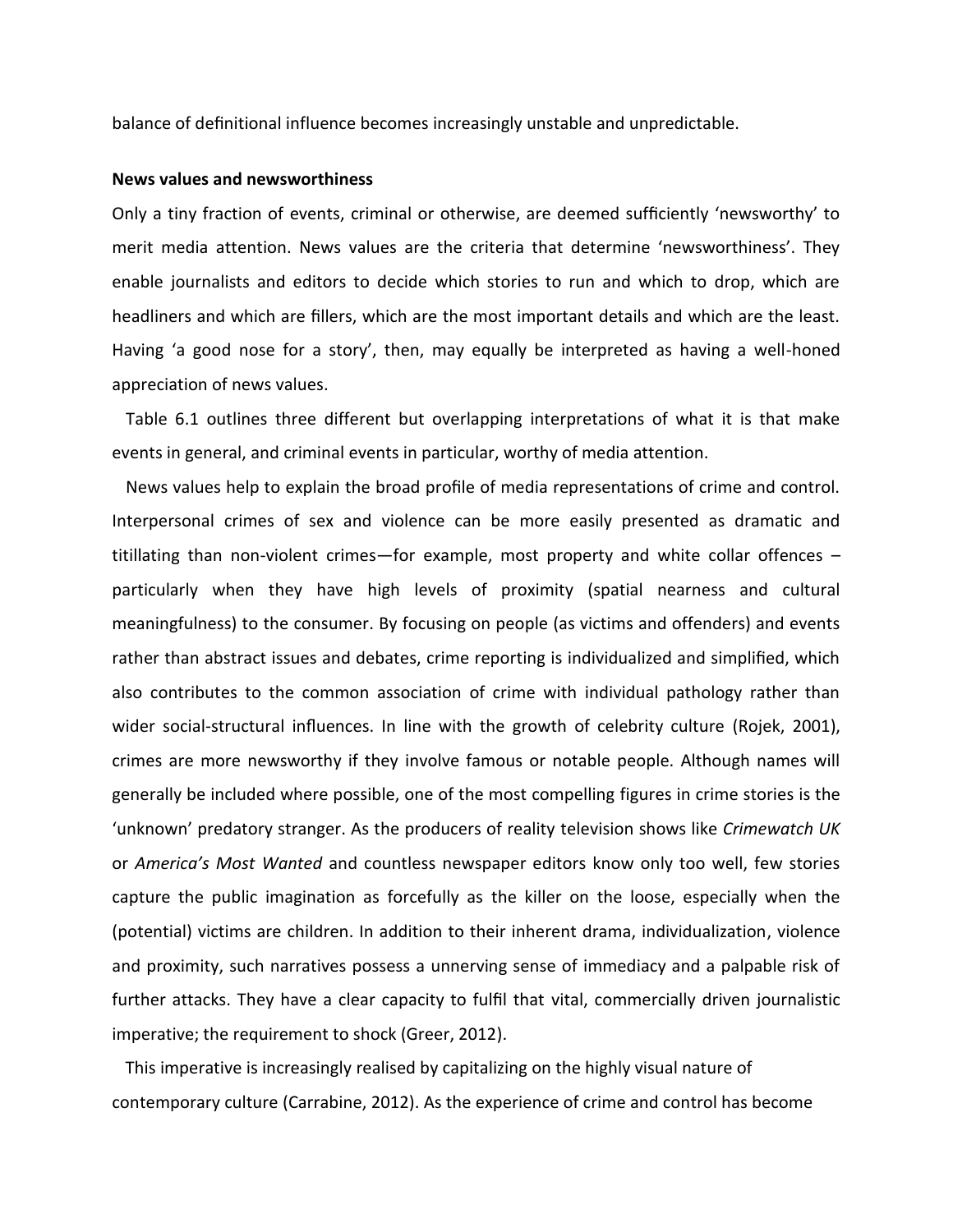balance of definitional influence becomes increasingly unstable and unpredictable.

#### **News values and newsworthiness**

Only a tiny fraction of events, criminal or otherwise, are deemed sufficiently 'newsworthy' to merit media attention. News values are the criteria that determine 'newsworthiness'. They enable journalists and editors to decide which stories to run and which to drop, which are headliners and which are fillers, which are the most important details and which are the least. Having 'a good nose for a story', then, may equally be interpreted as having a well-honed appreciation of news values.

Table 6.1 outlines three different but overlapping interpretations of what it is that make events in general, and criminal events in particular, worthy of media attention.

News values help to explain the broad profile of media representations of crime and control. Interpersonal crimes of sex and violence can be more easily presented as dramatic and titillating than non-violent crimes—for example, most property and white collar offences – particularly when they have high levels of proximity (spatial nearness and cultural meaningfulness) to the consumer. By focusing on people (as victims and offenders) and events rather than abstract issues and debates, crime reporting is individualized and simplified, which also contributes to the common association of crime with individual pathology rather than wider social-structural influences. In line with the growth of celebrity culture (Rojek, 2001), crimes are more newsworthy if they involve famous or notable people. Although names will generally be included where possible, one of the most compelling figures in crime stories is the 'unknown' predatory stranger. As the producers of reality television shows like *Crimewatch UK* or *America's Most Wanted* and countless newspaper editors know only too well, few stories capture the public imagination as forcefully as the killer on the loose, especially when the (potential) victims are children. In addition to their inherent drama, individualization, violence and proximity, such narratives possess a unnerving sense of immediacy and a palpable risk of further attacks. They have a clear capacity to fulfil that vital, commercially driven journalistic imperative; the requirement to shock (Greer, 2012).

This imperative is increasingly realised by capitalizing on the highly visual nature of contemporary culture (Carrabine, 2012). As the experience of crime and control has become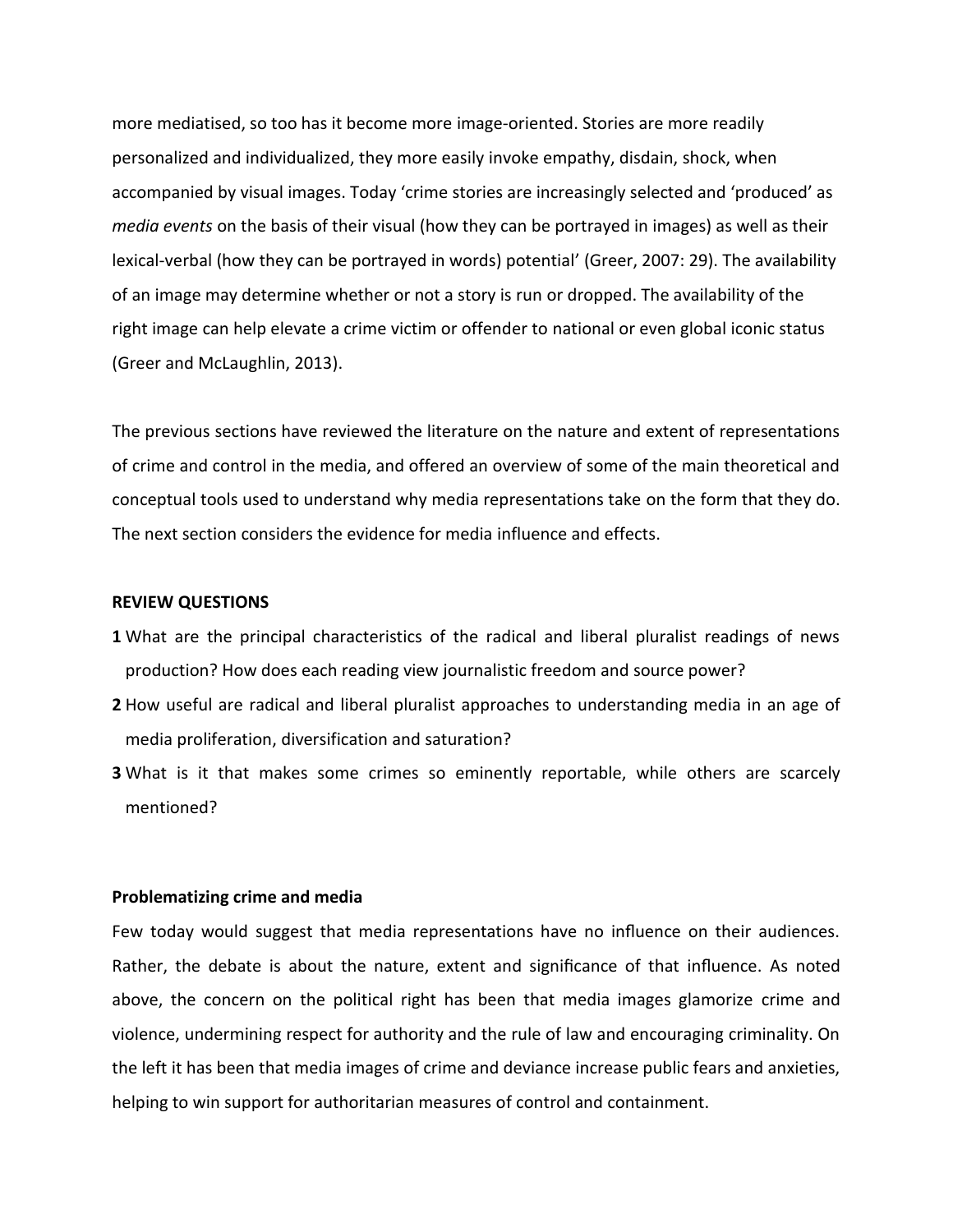more mediatised, so too has it become more image-oriented. Stories are more readily personalized and individualized, they more easily invoke empathy, disdain, shock, when accompanied by visual images. Today 'crime stories are increasingly selected and 'produced' as *media events* on the basis of their visual (how they can be portrayed in images) as well as their lexical-verbal (how they can be portrayed in words) potential' (Greer, 2007: 29). The availability of an image may determine whether or not a story is run or dropped. The availability of the right image can help elevate a crime victim or offender to national or even global iconic status (Greer and McLaughlin, 2013).

The previous sections have reviewed the literature on the nature and extent of representations of crime and control in the media, and offered an overview of some of the main theoretical and conceptual tools used to understand why media representations take on the form that they do. The next section considers the evidence for media influence and effects.

## **REVIEW QUESTIONS**

- **1** What are the principal characteristics of the radical and liberal pluralist readings of news production? How does each reading view journalistic freedom and source power?
- **2** How useful are radical and liberal pluralist approaches to understanding media in an age of media proliferation, diversification and saturation?
- **3** What is it that makes some crimes so eminently reportable, while others are scarcely mentioned?

## **Problematizing crime and media**

Few today would suggest that media representations have no influence on their audiences. Rather, the debate is about the nature, extent and significance of that influence. As noted above, the concern on the political right has been that media images glamorize crime and violence, undermining respect for authority and the rule of law and encouraging criminality. On the left it has been that media images of crime and deviance increase public fears and anxieties, helping to win support for authoritarian measures of control and containment.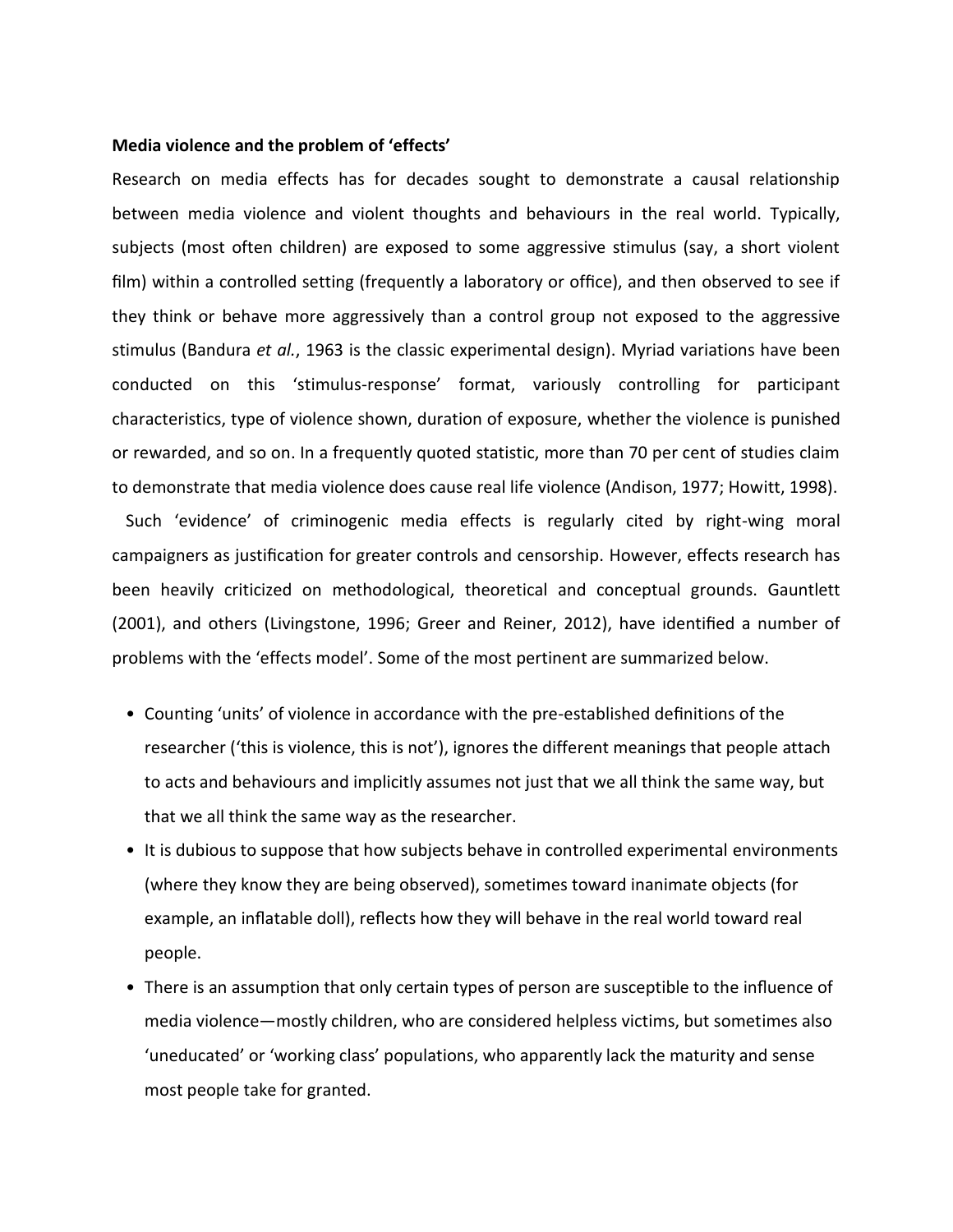## **Media violence and the problem of 'effects'**

Research on media effects has for decades sought to demonstrate a causal relationship between media violence and violent thoughts and behaviours in the real world. Typically, subjects (most often children) are exposed to some aggressive stimulus (say, a short violent film) within a controlled setting (frequently a laboratory or office), and then observed to see if they think or behave more aggressively than a control group not exposed to the aggressive stimulus (Bandura *et al.*, 1963 is the classic experimental design). Myriad variations have been conducted on this 'stimulus-response' format, variously controlling for participant characteristics, type of violence shown, duration of exposure, whether the violence is punished or rewarded, and so on. In a frequently quoted statistic, more than 70 per cent of studies claim to demonstrate that media violence does cause real life violence (Andison, 1977; Howitt, 1998).

Such 'evidence' of criminogenic media effects is regularly cited by right-wing moral campaigners as justification for greater controls and censorship. However, effects research has been heavily criticized on methodological, theoretical and conceptual grounds. Gauntlett (2001), and others (Livingstone, 1996; Greer and Reiner, 2012), have identified a number of problems with the 'effects model'. Some of the most pertinent are summarized below.

- Counting 'units' of violence in accordance with the pre-established definitions of the researcher ('this is violence, this is not'), ignores the different meanings that people attach to acts and behaviours and implicitly assumes not just that we all think the same way, but that we all think the same way as the researcher.
- It is dubious to suppose that how subjects behave in controlled experimental environments (where they know they are being observed), sometimes toward inanimate objects (for example, an inflatable doll), reflects how they will behave in the real world toward real people.
- There is an assumption that only certain types of person are susceptible to the influence of media violence—mostly children, who are considered helpless victims, but sometimes also 'uneducated' or 'working class' populations, who apparently lack the maturity and sense most people take for granted.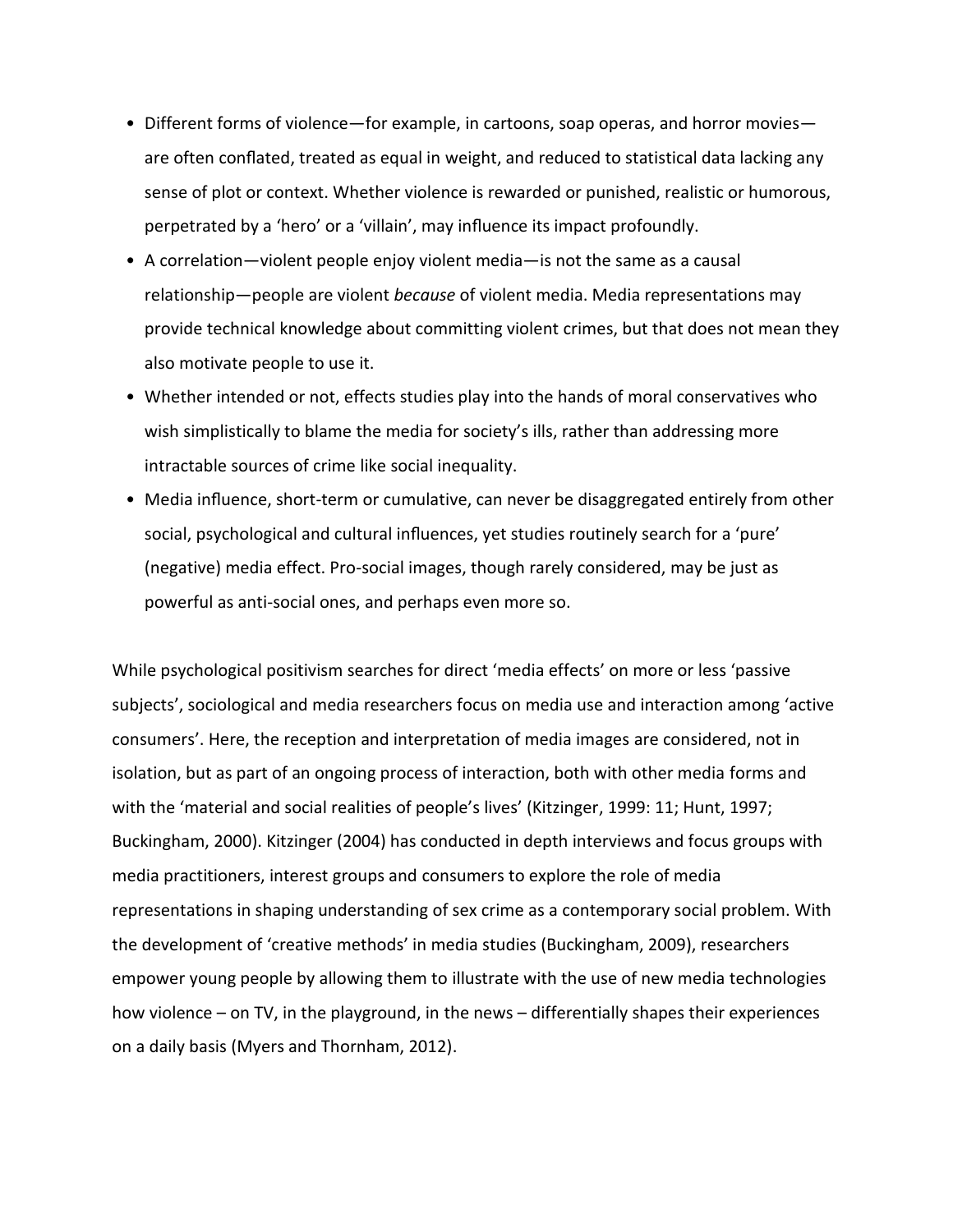- Different forms of violence—for example, in cartoons, soap operas, and horror movies are often conflated, treated as equal in weight, and reduced to statistical data lacking any sense of plot or context. Whether violence is rewarded or punished, realistic or humorous, perpetrated by a 'hero' or a 'villain', may influence its impact profoundly.
- A correlation—violent people enjoy violent media—is not the same as a causal relationship—people are violent *because* of violent media. Media representations may provide technical knowledge about committing violent crimes, but that does not mean they also motivate people to use it.
- Whether intended or not, effects studies play into the hands of moral conservatives who wish simplistically to blame the media for society's ills, rather than addressing more intractable sources of crime like social inequality.
- Media influence, short-term or cumulative, can never be disaggregated entirely from other social, psychological and cultural influences, yet studies routinely search for a 'pure' (negative) media effect. Pro-social images, though rarely considered, may be just as powerful as anti-social ones, and perhaps even more so.

While psychological positivism searches for direct 'media effects' on more or less 'passive subjects', sociological and media researchers focus on media use and interaction among 'active consumers'. Here, the reception and interpretation of media images are considered, not in isolation, but as part of an ongoing process of interaction, both with other media forms and with the 'material and social realities of people's lives' (Kitzinger, 1999: 11; Hunt, 1997; Buckingham, 2000). Kitzinger (2004) has conducted in depth interviews and focus groups with media practitioners, interest groups and consumers to explore the role of media representations in shaping understanding of sex crime as a contemporary social problem. With the development of 'creative methods' in media studies (Buckingham, 2009), researchers empower young people by allowing them to illustrate with the use of new media technologies how violence – on TV, in the playground, in the news – differentially shapes their experiences on a daily basis (Myers and Thornham, 2012).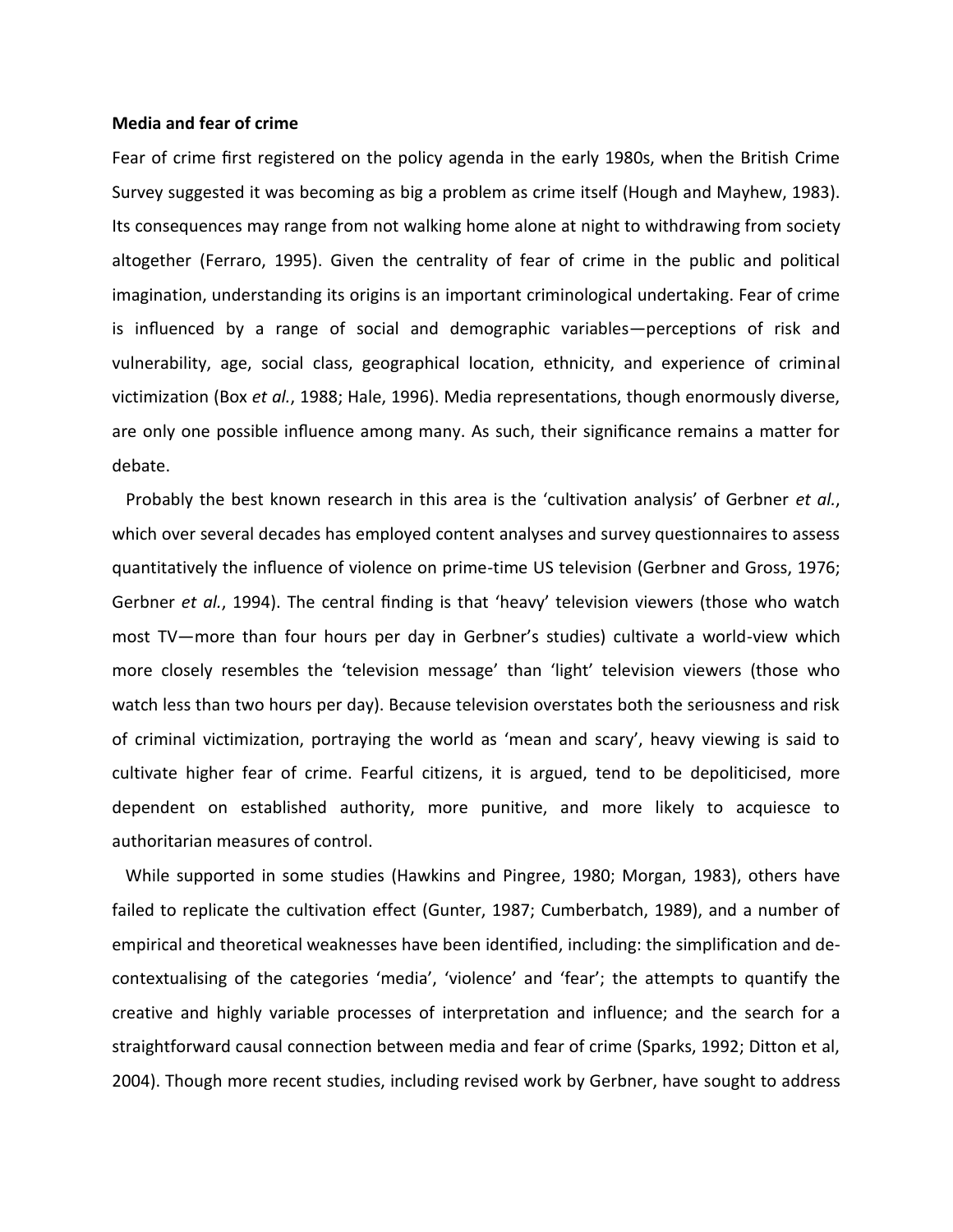#### **Media and fear of crime**

Fear of crime first registered on the policy agenda in the early 1980s, when the British Crime Survey suggested it was becoming as big a problem as crime itself (Hough and Mayhew, 1983). Its consequences may range from not walking home alone at night to withdrawing from society altogether (Ferraro, 1995). Given the centrality of fear of crime in the public and political imagination, understanding its origins is an important criminological undertaking. Fear of crime is influenced by a range of social and demographic variables—perceptions of risk and vulnerability, age, social class, geographical location, ethnicity, and experience of criminal victimization (Box *et al.*, 1988; Hale, 1996). Media representations, though enormously diverse, are only one possible influence among many. As such, their significance remains a matter for debate.

Probably the best known research in this area is the 'cultivation analysis' of Gerbner *et al.*, which over several decades has employed content analyses and survey questionnaires to assess quantitatively the influence of violence on prime-time US television (Gerbner and Gross, 1976; Gerbner *et al.*, 1994). The central finding is that 'heavy' television viewers (those who watch most TV—more than four hours per day in Gerbner's studies) cultivate a world-view which more closely resembles the 'television message' than 'light' television viewers (those who watch less than two hours per day). Because television overstates both the seriousness and risk of criminal victimization, portraying the world as 'mean and scary', heavy viewing is said to cultivate higher fear of crime. Fearful citizens, it is argued, tend to be depoliticised, more dependent on established authority, more punitive, and more likely to acquiesce to authoritarian measures of control.

While supported in some studies (Hawkins and Pingree, 1980; Morgan, 1983), others have failed to replicate the cultivation effect (Gunter, 1987; Cumberbatch, 1989), and a number of empirical and theoretical weaknesses have been identified, including: the simplification and decontextualising of the categories 'media', 'violence' and 'fear'; the attempts to quantify the creative and highly variable processes of interpretation and influence; and the search for a straightforward causal connection between media and fear of crime (Sparks, 1992; Ditton et al, 2004). Though more recent studies, including revised work by Gerbner, have sought to address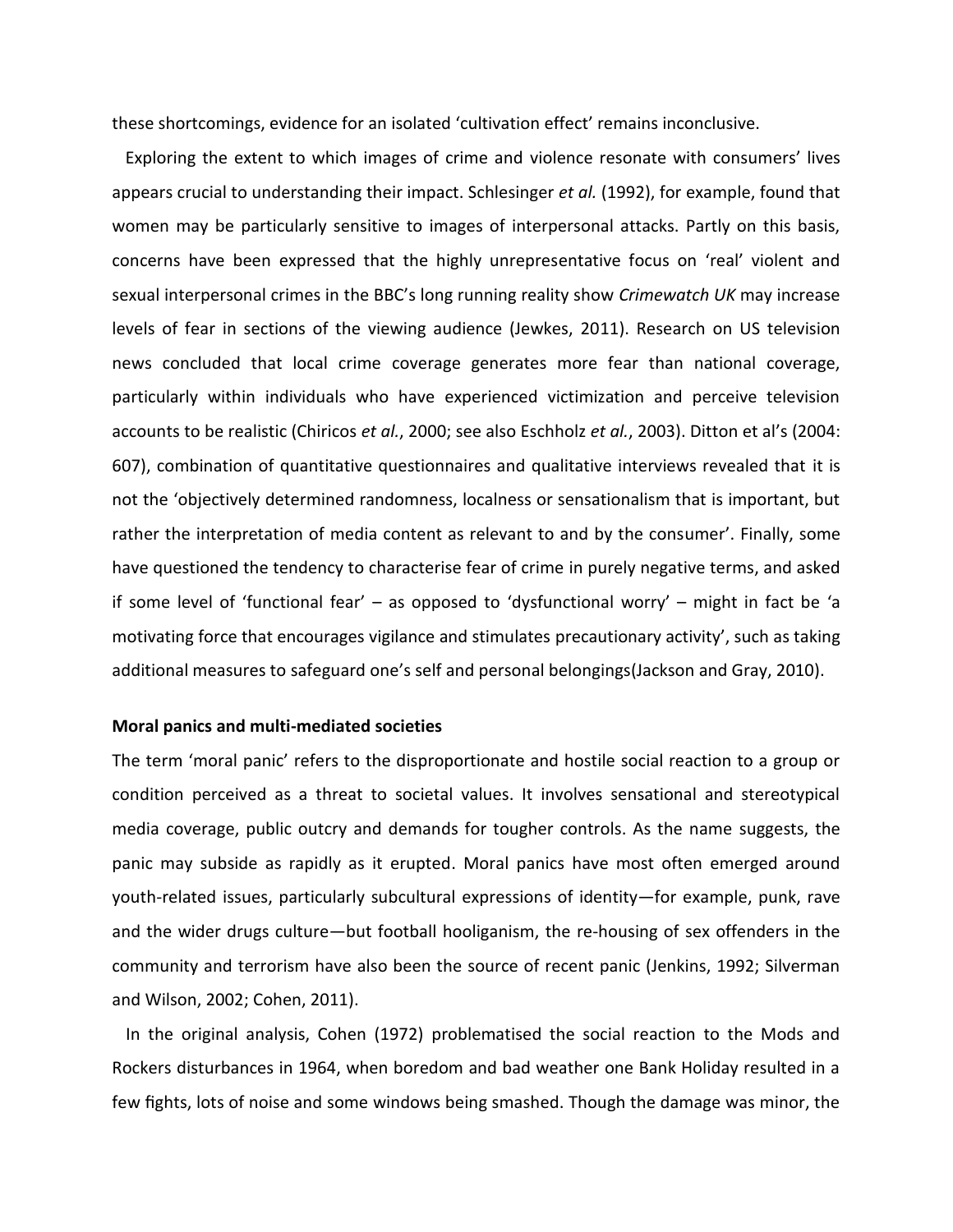these shortcomings, evidence for an isolated 'cultivation effect' remains inconclusive.

Exploring the extent to which images of crime and violence resonate with consumers' lives appears crucial to understanding their impact. Schlesinger *et al.* (1992), for example, found that women may be particularly sensitive to images of interpersonal attacks. Partly on this basis, concerns have been expressed that the highly unrepresentative focus on 'real' violent and sexual interpersonal crimes in the BBC's long running reality show *Crimewatch UK* may increase levels of fear in sections of the viewing audience (Jewkes, 2011). Research on US television news concluded that local crime coverage generates more fear than national coverage, particularly within individuals who have experienced victimization and perceive television accounts to be realistic (Chiricos *et al.*, 2000; see also Eschholz *et al.*, 2003). Ditton et al's (2004: 607), combination of quantitative questionnaires and qualitative interviews revealed that it is not the 'objectively determined randomness, localness or sensationalism that is important, but rather the interpretation of media content as relevant to and by the consumer'. Finally, some have questioned the tendency to characterise fear of crime in purely negative terms, and asked if some level of 'functional fear' – as opposed to 'dysfunctional worry' – might in fact be 'a motivating force that encourages vigilance and stimulates precautionary activity', such as taking additional measures to safeguard one's self and personal belongings(Jackson and Gray, 2010).

## **Moral panics and multi-mediated societies**

The term 'moral panic' refers to the disproportionate and hostile social reaction to a group or condition perceived as a threat to societal values. It involves sensational and stereotypical media coverage, public outcry and demands for tougher controls. As the name suggests, the panic may subside as rapidly as it erupted. Moral panics have most often emerged around youth-related issues, particularly subcultural expressions of identity—for example, punk, rave and the wider drugs culture—but football hooliganism, the re-housing of sex offenders in the community and terrorism have also been the source of recent panic (Jenkins, 1992; Silverman and Wilson, 2002; Cohen, 2011).

In the original analysis, Cohen (1972) problematised the social reaction to the Mods and Rockers disturbances in 1964, when boredom and bad weather one Bank Holiday resulted in a few fights, lots of noise and some windows being smashed. Though the damage was minor, the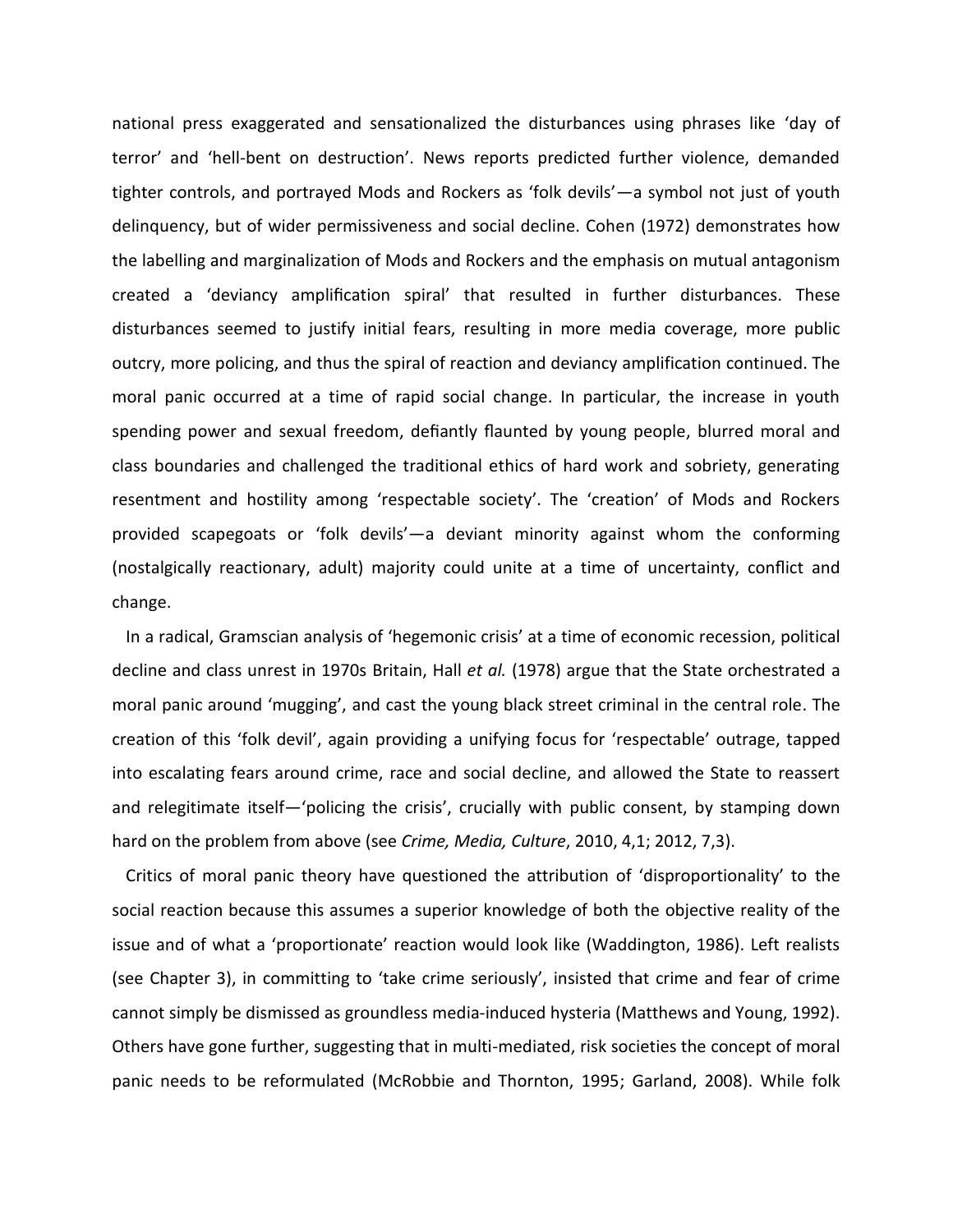national press exaggerated and sensationalized the disturbances using phrases like 'day of terror' and 'hell-bent on destruction'. News reports predicted further violence, demanded tighter controls, and portrayed Mods and Rockers as 'folk devils'—a symbol not just of youth delinquency, but of wider permissiveness and social decline. Cohen (1972) demonstrates how the labelling and marginalization of Mods and Rockers and the emphasis on mutual antagonism created a 'deviancy amplification spiral' that resulted in further disturbances. These disturbances seemed to justify initial fears, resulting in more media coverage, more public outcry, more policing, and thus the spiral of reaction and deviancy amplification continued. The moral panic occurred at a time of rapid social change. In particular, the increase in youth spending power and sexual freedom, defiantly flaunted by young people, blurred moral and class boundaries and challenged the traditional ethics of hard work and sobriety, generating resentment and hostility among 'respectable society'. The 'creation' of Mods and Rockers provided scapegoats or 'folk devils'—a deviant minority against whom the conforming (nostalgically reactionary, adult) majority could unite at a time of uncertainty, conflict and change.

In a radical, Gramscian analysis of 'hegemonic crisis' at a time of economic recession, political decline and class unrest in 1970s Britain, Hall *et al.* (1978) argue that the State orchestrated a moral panic around 'mugging', and cast the young black street criminal in the central role. The creation of this 'folk devil', again providing a unifying focus for 'respectable' outrage, tapped into escalating fears around crime, race and social decline, and allowed the State to reassert and relegitimate itself—'policing the crisis', crucially with public consent, by stamping down hard on the problem from above (see *Crime, Media, Culture*, 2010, 4,1; 2012, 7,3).

Critics of moral panic theory have questioned the attribution of 'disproportionality' to the social reaction because this assumes a superior knowledge of both the objective reality of the issue and of what a 'proportionate' reaction would look like (Waddington, 1986). Left realists (see Chapter 3), in committing to 'take crime seriously', insisted that crime and fear of crime cannot simply be dismissed as groundless media-induced hysteria (Matthews and Young, 1992). Others have gone further, suggesting that in multi-mediated, risk societies the concept of moral panic needs to be reformulated (McRobbie and Thornton, 1995; Garland, 2008). While folk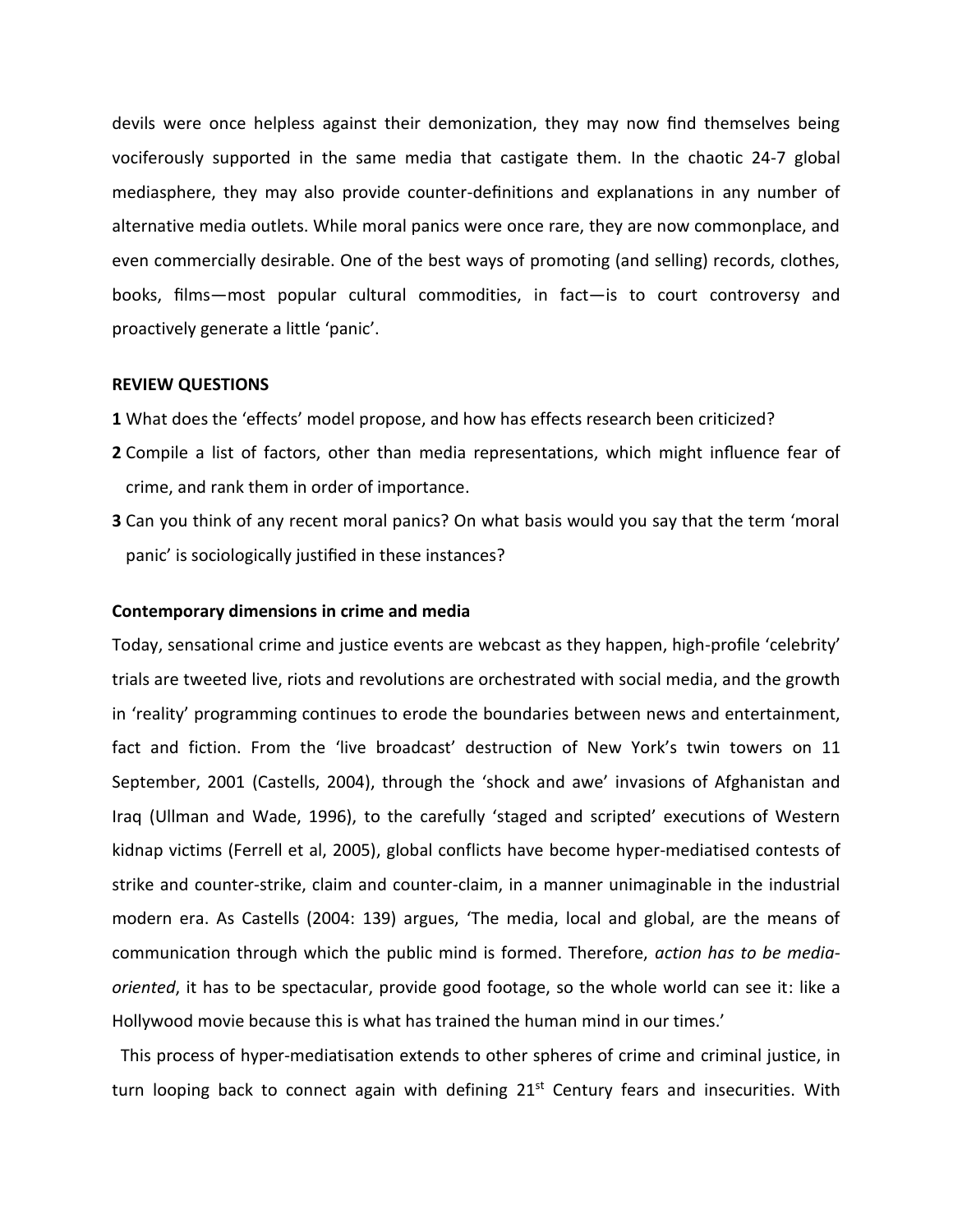devils were once helpless against their demonization, they may now find themselves being vociferously supported in the same media that castigate them. In the chaotic 24-7 global mediasphere, they may also provide counter-definitions and explanations in any number of alternative media outlets. While moral panics were once rare, they are now commonplace, and even commercially desirable. One of the best ways of promoting (and selling) records, clothes, books, films—most popular cultural commodities, in fact—is to court controversy and proactively generate a little 'panic'.

## **REVIEW QUESTIONS**

- **1** What does the 'effects' model propose, and how has effects research been criticized?
- **2** Compile a list of factors, other than media representations, which might influence fear of crime, and rank them in order of importance.
- **3** Can you think of any recent moral panics? On what basis would you say that the term 'moral panic' is sociologically justified in these instances?

#### **Contemporary dimensions in crime and media**

Today, sensational crime and justice events are webcast as they happen, high-profile 'celebrity' trials are tweeted live, riots and revolutions are orchestrated with social media, and the growth in 'reality' programming continues to erode the boundaries between news and entertainment, fact and fiction. From the 'live broadcast' destruction of New York's twin towers on 11 September, 2001 (Castells, 2004), through the 'shock and awe' invasions of Afghanistan and Iraq (Ullman and Wade, 1996), to the carefully 'staged and scripted' executions of Western kidnap victims (Ferrell et al, 2005), global conflicts have become hyper-mediatised contests of strike and counter-strike, claim and counter-claim, in a manner unimaginable in the industrial modern era. As Castells (2004: 139) argues, 'The media, local and global, are the means of communication through which the public mind is formed. Therefore, *action has to be mediaoriented*, it has to be spectacular, provide good footage, so the whole world can see it: like a Hollywood movie because this is what has trained the human mind in our times.'

 This process of hyper-mediatisation extends to other spheres of crime and criminal justice, in turn looping back to connect again with defining  $21<sup>st</sup>$  Century fears and insecurities. With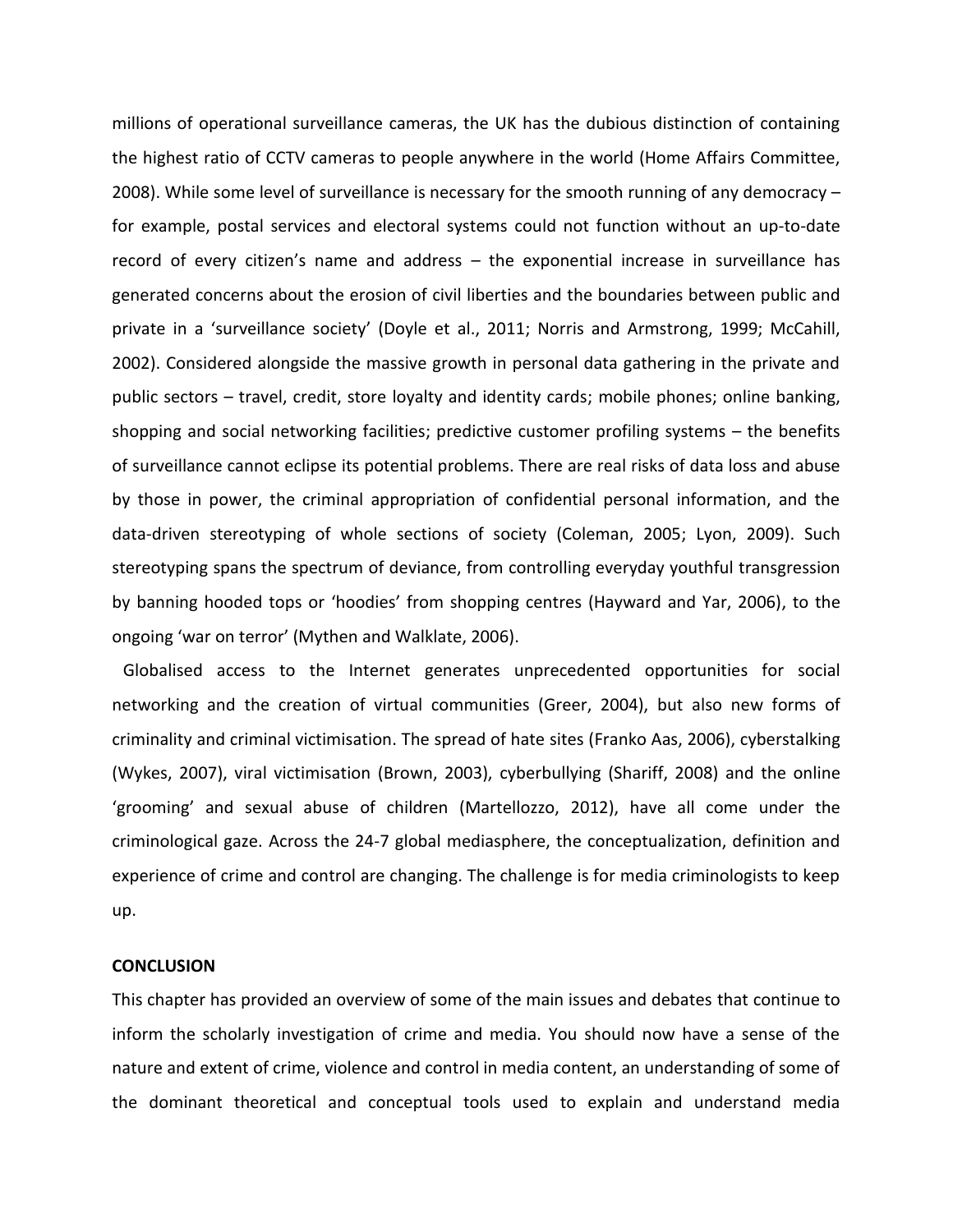millions of operational surveillance cameras, the UK has the dubious distinction of containing the highest ratio of CCTV cameras to people anywhere in the world (Home Affairs Committee, 2008). While some level of surveillance is necessary for the smooth running of any democracy – for example, postal services and electoral systems could not function without an up-to-date record of every citizen's name and address – the exponential increase in surveillance has generated concerns about the erosion of civil liberties and the boundaries between public and private in a 'surveillance society' (Doyle et al., 2011; Norris and Armstrong, 1999; McCahill, 2002). Considered alongside the massive growth in personal data gathering in the private and public sectors – travel, credit, store loyalty and identity cards; mobile phones; online banking, shopping and social networking facilities; predictive customer profiling systems – the benefits of surveillance cannot eclipse its potential problems. There are real risks of data loss and abuse by those in power, the criminal appropriation of confidential personal information, and the data-driven stereotyping of whole sections of society (Coleman, 2005; Lyon, 2009). Such stereotyping spans the spectrum of deviance, from controlling everyday youthful transgression by banning hooded tops or 'hoodies' from shopping centres (Hayward and Yar, 2006), to the ongoing 'war on terror' (Mythen and Walklate, 2006).

Globalised access to the Internet generates unprecedented opportunities for social networking and the creation of virtual communities (Greer, 2004), but also new forms of criminality and criminal victimisation. The spread of hate sites (Franko Aas, 2006), cyberstalking (Wykes, 2007), viral victimisation (Brown, 2003), cyberbullying (Shariff, 2008) and the online 'grooming' and sexual abuse of children (Martellozzo, 2012), have all come under the criminological gaze. Across the 24-7 global mediasphere, the conceptualization, definition and experience of crime and control are changing. The challenge is for media criminologists to keep up.

# **CONCLUSION**

This chapter has provided an overview of some of the main issues and debates that continue to inform the scholarly investigation of crime and media. You should now have a sense of the nature and extent of crime, violence and control in media content, an understanding of some of the dominant theoretical and conceptual tools used to explain and understand media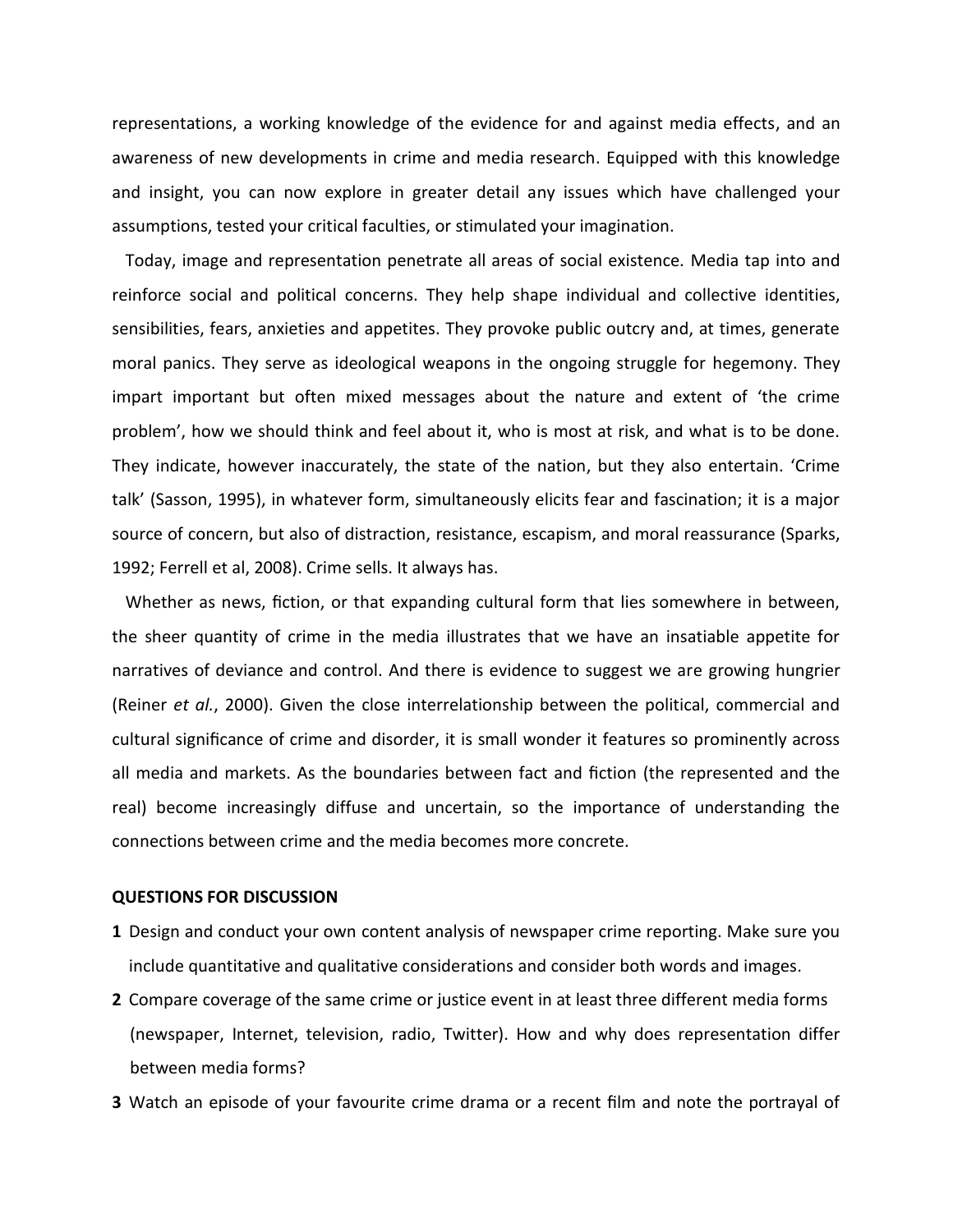representations, a working knowledge of the evidence for and against media effects, and an awareness of new developments in crime and media research. Equipped with this knowledge and insight, you can now explore in greater detail any issues which have challenged your assumptions, tested your critical faculties, or stimulated your imagination.

Today, image and representation penetrate all areas of social existence. Media tap into and reinforce social and political concerns. They help shape individual and collective identities, sensibilities, fears, anxieties and appetites. They provoke public outcry and, at times, generate moral panics. They serve as ideological weapons in the ongoing struggle for hegemony. They impart important but often mixed messages about the nature and extent of 'the crime problem', how we should think and feel about it, who is most at risk, and what is to be done. They indicate, however inaccurately, the state of the nation, but they also entertain. 'Crime talk' (Sasson, 1995), in whatever form, simultaneously elicits fear and fascination; it is a major source of concern, but also of distraction, resistance, escapism, and moral reassurance (Sparks, 1992; Ferrell et al, 2008). Crime sells. It always has.

Whether as news, fiction, or that expanding cultural form that lies somewhere in between, the sheer quantity of crime in the media illustrates that we have an insatiable appetite for narratives of deviance and control. And there is evidence to suggest we are growing hungrier (Reiner *et al.*, 2000). Given the close interrelationship between the political, commercial and cultural significance of crime and disorder, it is small wonder it features so prominently across all media and markets. As the boundaries between fact and fiction (the represented and the real) become increasingly diffuse and uncertain, so the importance of understanding the connections between crime and the media becomes more concrete.

#### **QUESTIONS FOR DISCUSSION**

- **1** Design and conduct your own content analysis of newspaper crime reporting. Make sure you include quantitative and qualitative considerations and consider both words and images.
- **2** Compare coverage of the same crime or justice event in at least three different media forms (newspaper, Internet, television, radio, Twitter). How and why does representation differ between media forms?
- **3** Watch an episode of your favourite crime drama or a recent film and note the portrayal of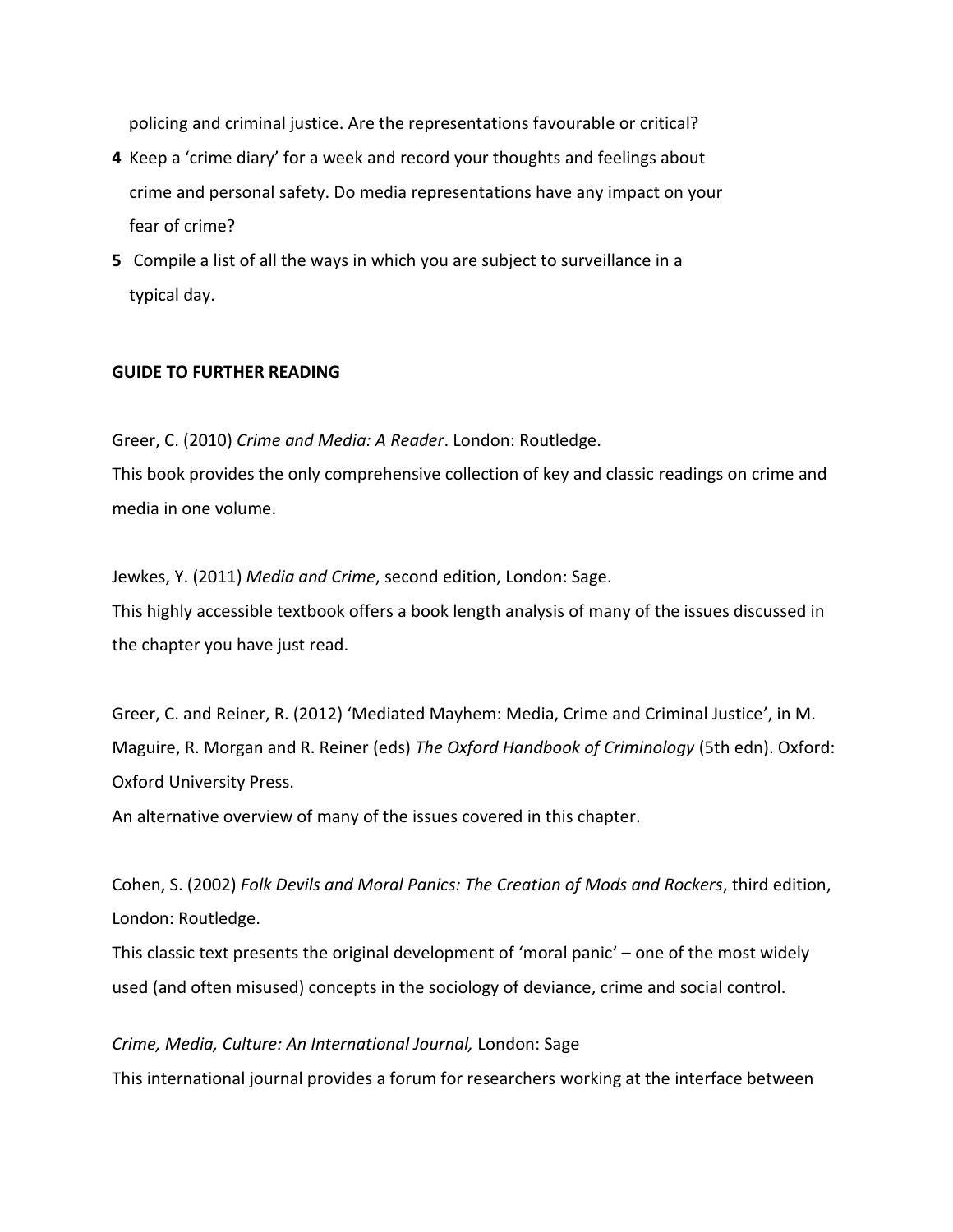policing and criminal justice. Are the representations favourable or critical?

- **4** Keep a 'crime diary' for a week and record your thoughts and feelings about crime and personal safety. Do media representations have any impact on your fear of crime?
- **5** Compile a list of all the ways in which you are subject to surveillance in a typical day.

# **GUIDE TO FURTHER READING**

Greer, C. (2010) *Crime and Media: A Reader*. London: Routledge.

This book provides the only comprehensive collection of key and classic readings on crime and media in one volume.

Jewkes, Y. (2011) *Media and Crime*, second edition, London: Sage. This highly accessible textbook offers a book length analysis of many of the issues discussed in the chapter you have just read.

Greer, C. and Reiner, R. (2012) 'Mediated Mayhem: Media, Crime and Criminal Justice', in M. Maguire, R. Morgan and R. Reiner (eds) *The Oxford Handbook of Criminology* (5th edn). Oxford: Oxford University Press.

An alternative overview of many of the issues covered in this chapter.

Cohen, S. (2002) *Folk Devils and Moral Panics: The Creation of Mods and Rockers*, third edition, London: Routledge.

This classic text presents the original development of 'moral panic' – one of the most widely used (and often misused) concepts in the sociology of deviance, crime and social control.

*Crime, Media, Culture: An International Journal,* London: Sage This international journal provides a forum for researchers working at the interface between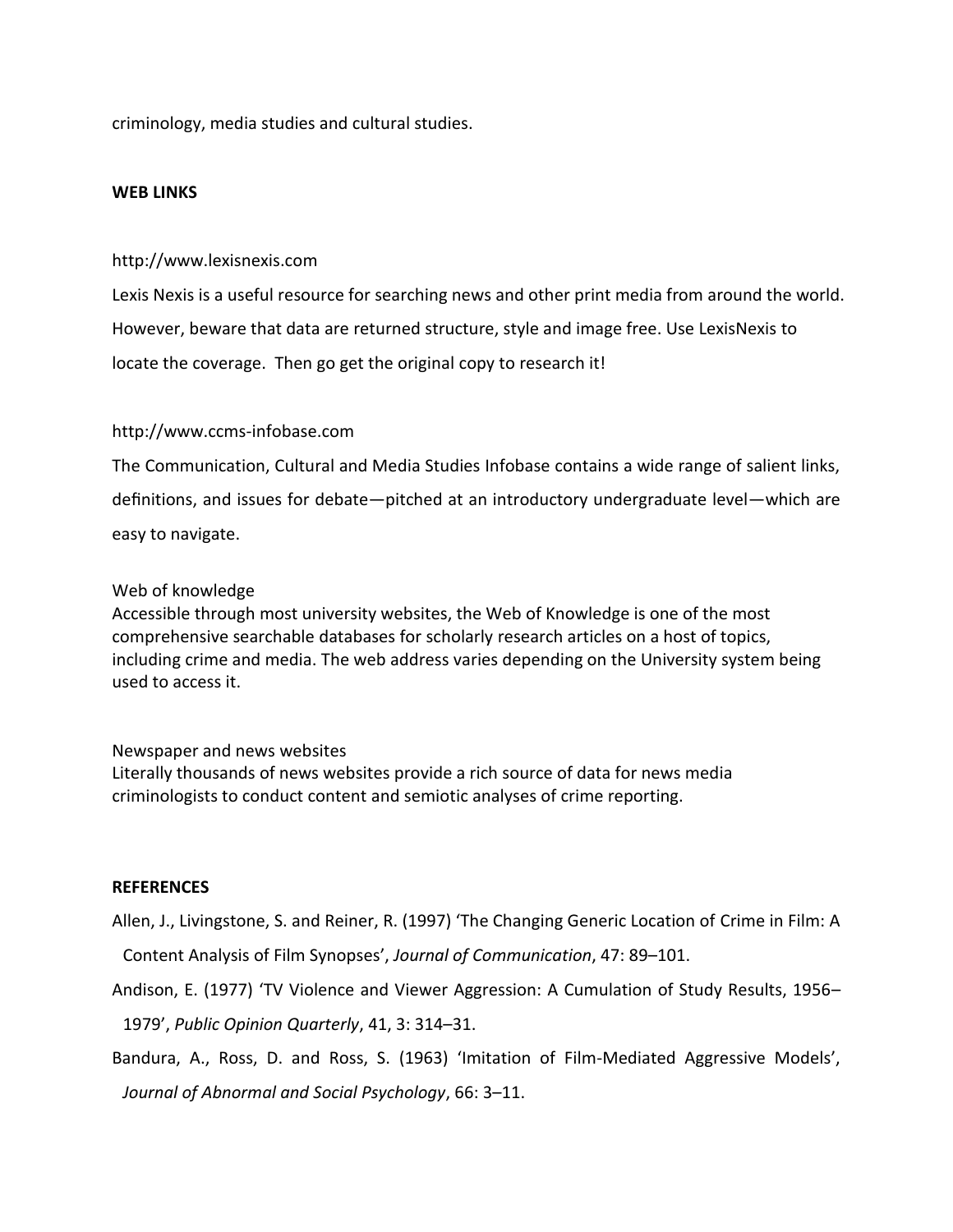criminology, media studies and cultural studies.

# **WEB LINKS**

## http://www.lexisnexis.com

Lexis Nexis is a useful resource for searching news and other print media from around the world. However, beware that data are returned structure, style and image free. Use LexisNexis to locate the coverage. Then go get the original copy to research it!

# http://www.ccms-infobase.com

The Communication, Cultural and Media Studies Infobase contains a wide range of salient links, definitions, and issues for debate—pitched at an introductory undergraduate level—which are easy to navigate.

## Web of knowledge

Accessible through most university websites, the Web of Knowledge is one of the most comprehensive searchable databases for scholarly research articles on a host of topics, including crime and media. The web address varies depending on the University system being used to access it.

# Newspaper and news websites

Literally thousands of news websites provide a rich source of data for news media criminologists to conduct content and semiotic analyses of crime reporting.

#### **REFERENCES**

Allen, J., Livingstone, S. and Reiner, R. (1997) 'The Changing Generic Location of Crime in Film: A Content Analysis of Film Synopses', *Journal of Communication*, 47: 89–101.

Andison, E. (1977) 'TV Violence and Viewer Aggression: A Cumulation of Study Results, 1956– 1979', *Public Opinion Quarterly*, 41, 3: 314–31.

Bandura, A., Ross, D. and Ross, S. (1963) 'Imitation of Film-Mediated Aggressive Models', *Journal of Abnormal and Social Psychology*, 66: 3–11.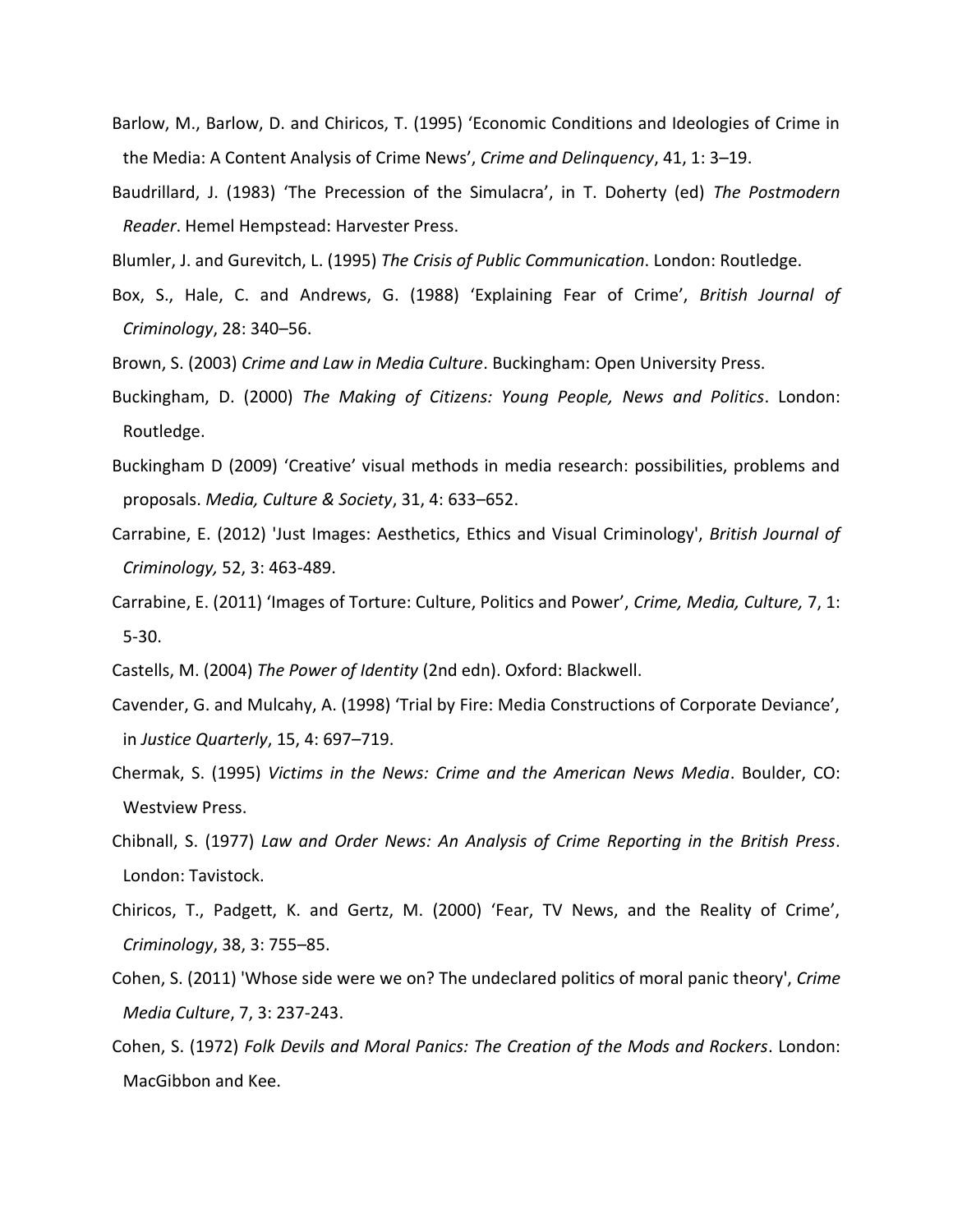- Barlow, M., Barlow, D. and Chiricos, T. (1995) 'Economic Conditions and Ideologies of Crime in the Media: A Content Analysis of Crime News', *Crime and Delinquency*, 41, 1: 3–19.
- Baudrillard, J. (1983) 'The Precession of the Simulacra', in T. Doherty (ed) *The Postmodern Reader*. Hemel Hempstead: Harvester Press.
- Blumler, J. and Gurevitch, L. (1995) *The Crisis of Public Communication*. London: Routledge.
- Box, S., Hale, C. and Andrews, G. (1988) 'Explaining Fear of Crime', *British Journal of Criminology*, 28: 340–56.
- Brown, S. (2003) *Crime and Law in Media Culture*. Buckingham: Open University Press.
- Buckingham, D. (2000) *The Making of Citizens: Young People, News and Politics*. London: Routledge.
- Buckingham D (2009) 'Creative' visual methods in media research: possibilities, problems and proposals. *Media, Culture & Society*, 31, 4: 633–652.
- Carrabine, E. (2012) 'Just Images: Aesthetics, Ethics and Visual Criminology', *British Journal of Criminology,* 52, 3: 463-489.
- Carrabine, E. (2011) 'Images of Torture: Culture, Politics and Power', *Crime, Media, Culture,* 7, 1: 5-30.
- Castells, M. (2004) *The Power of Identity* (2nd edn). Oxford: Blackwell.
- Cavender, G. and Mulcahy, A. (1998) 'Trial by Fire: Media Constructions of Corporate Deviance', in *Justice Quarterly*, 15, 4: 697–719.
- Chermak, S. (1995) *Victims in the News: Crime and the American News Media*. Boulder, CO: Westview Press.
- Chibnall, S. (1977) *Law and Order News: An Analysis of Crime Reporting in the British Press*. London: Tavistock.
- Chiricos, T., Padgett, K. and Gertz, M. (2000) 'Fear, TV News, and the Reality of Crime', *Criminology*, 38, 3: 755–85.
- Cohen, S. (2011) 'Whose side were we on? The undeclared politics of moral panic theory', *Crime Media Culture*, 7, 3: 237-243.
- Cohen, S. (1972) *Folk Devils and Moral Panics: The Creation of the Mods and Rockers*. London: MacGibbon and Kee.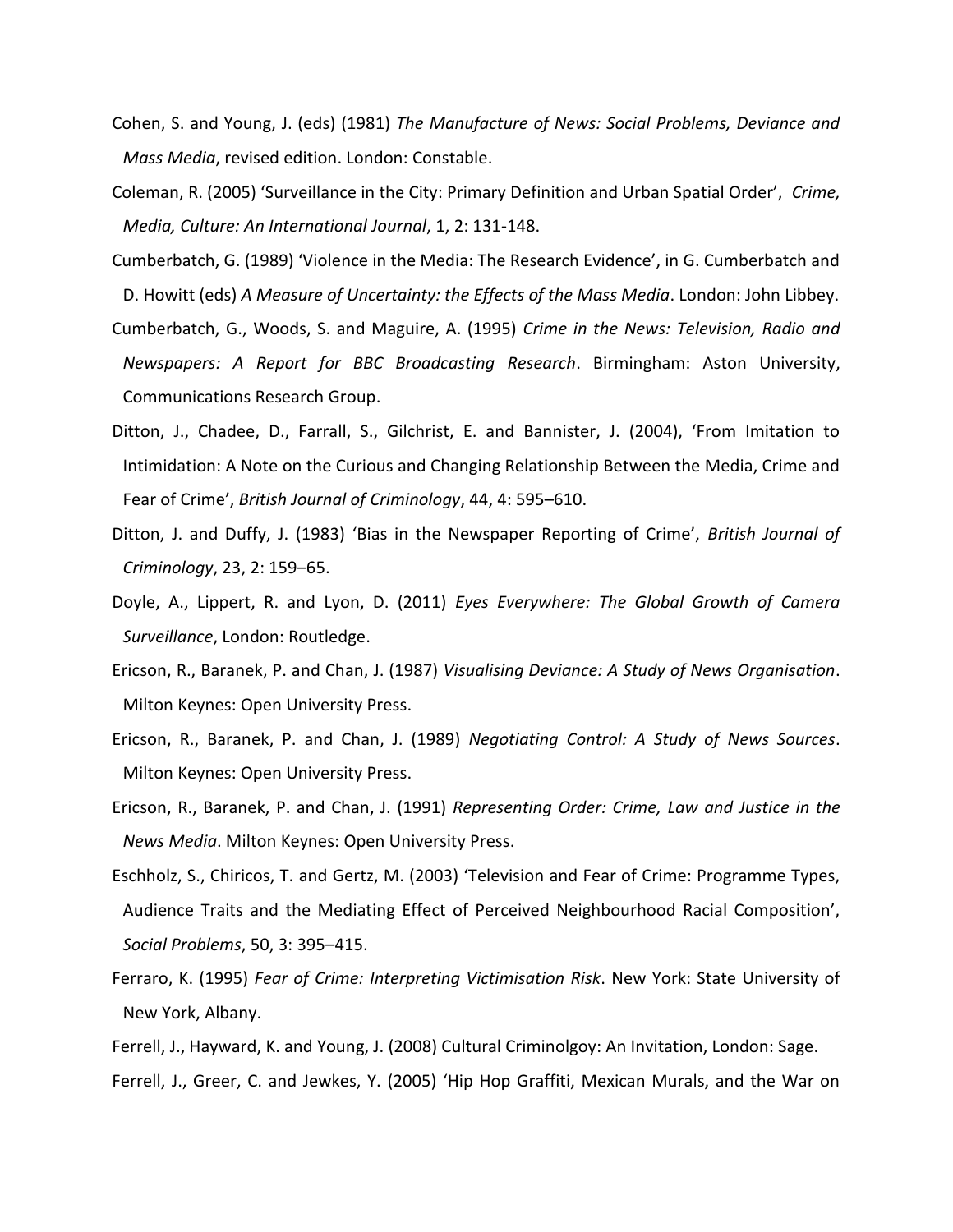- Cohen, S. and Young, J. (eds) (1981) *The Manufacture of News: Social Problems, Deviance and Mass Media*, revised edition. London: Constable.
- Coleman, R. (2005) 'Surveillance in the City: Primary Definition and Urban Spatial Order', *Crime, Media, Culture: An International Journal*, 1, 2: 131-148.
- Cumberbatch, G. (1989) 'Violence in the Media: The Research Evidence', in G. Cumberbatch and D. Howitt (eds) *A Measure of Uncertainty: the Effects of the Mass Media*. London: John Libbey.
- Cumberbatch, G., Woods, S. and Maguire, A. (1995) *Crime in the News: Television, Radio and Newspapers: A Report for BBC Broadcasting Research*. Birmingham: Aston University, Communications Research Group.
- Ditton, J., Chadee, D., Farrall, S., Gilchrist, E. and Bannister, J. (2004), 'From Imitation to Intimidation: A Note on the Curious and Changing Relationship Between the Media, Crime and Fear of Crime', *British Journal of Criminology*, 44, 4: 595–610.
- Ditton, J. and Duffy, J. (1983) 'Bias in the Newspaper Reporting of Crime', *British Journal of Criminology*, 23, 2: 159–65.
- Doyle, A., Lippert, R. and Lyon, D. (2011) *Eyes Everywhere: The Global Growth of Camera Surveillance*, London: Routledge.
- Ericson, R., Baranek, P. and Chan, J. (1987) *Visualising Deviance: A Study of News Organisation*. Milton Keynes: Open University Press.
- Ericson, R., Baranek, P. and Chan, J. (1989) *Negotiating Control: A Study of News Sources*. Milton Keynes: Open University Press.
- Ericson, R., Baranek, P. and Chan, J. (1991) *Representing Order: Crime, Law and Justice in the News Media*. Milton Keynes: Open University Press.
- Eschholz, S., Chiricos, T. and Gertz, M. (2003) 'Television and Fear of Crime: Programme Types, Audience Traits and the Mediating Effect of Perceived Neighbourhood Racial Composition', *Social Problems*, 50, 3: 395–415.
- Ferraro, K. (1995) *Fear of Crime: Interpreting Victimisation Risk*. New York: State University of New York, Albany.
- Ferrell, J., Hayward, K. and Young, J. (2008) Cultural Criminolgoy: An Invitation, London: Sage.
- Ferrell, J., Greer, C. and Jewkes, Y. (2005) 'Hip Hop Graffiti, Mexican Murals, and the War on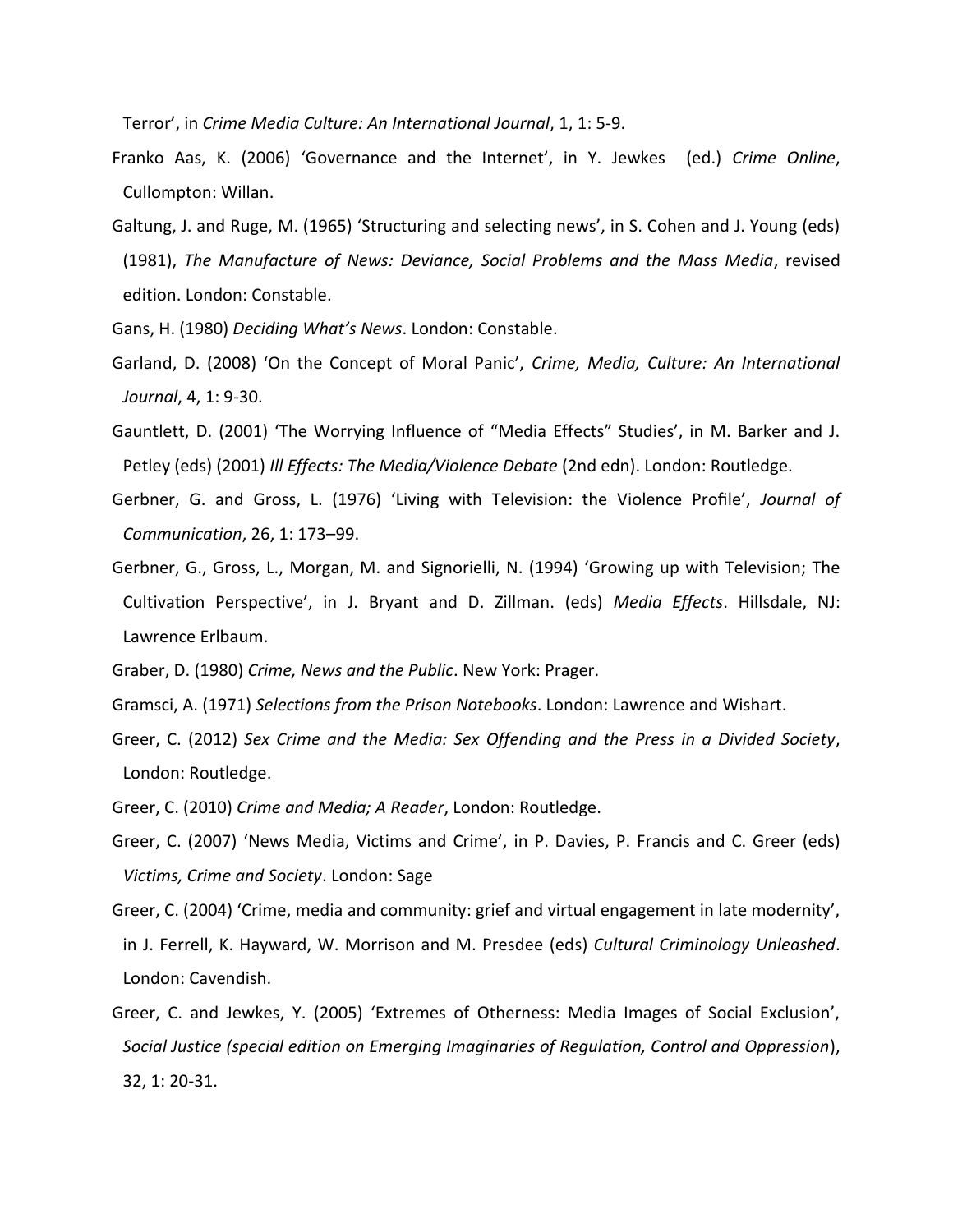Terror', in *Crime Media Culture: An International Journal*, 1, 1: 5-9.

- Franko Aas, K. (2006) 'Governance and the Internet', in Y. Jewkes (ed.) *Crime Online*, Cullompton: Willan.
- Galtung, J. and Ruge, M. (1965) 'Structuring and selecting news', in S. Cohen and J. Young (eds) (1981), *The Manufacture of News: Deviance, Social Problems and the Mass Media*, revised edition. London: Constable.
- Gans, H. (1980) *Deciding What's News*. London: Constable.
- Garland, D. (2008) 'On the Concept of Moral Panic', *Crime, Media, Culture: An International Journal*, 4, 1: 9-30.
- Gauntlett, D. (2001) 'The Worrying Influence of "Media Effects" Studies', in M. Barker and J. Petley (eds) (2001) *Ill Effects: The Media/Violence Debate* (2nd edn). London: Routledge.
- Gerbner, G. and Gross, L. (1976) 'Living with Television: the Violence Profile', *Journal of Communication*, 26, 1: 173–99.
- Gerbner, G., Gross, L., Morgan, M. and Signorielli, N. (1994) 'Growing up with Television; The Cultivation Perspective', in J. Bryant and D. Zillman. (eds) *Media Effects*. Hillsdale, NJ: Lawrence Erlbaum.
- Graber, D. (1980) *Crime, News and the Public*. New York: Prager.
- Gramsci, A. (1971) *Selections from the Prison Notebooks*. London: Lawrence and Wishart.
- Greer, C. (2012) *Sex Crime and the Media: Sex Offending and the Press in a Divided Society*, London: Routledge.
- Greer, C. (2010) *Crime and Media; A Reader*, London: Routledge.
- Greer, C. (2007) 'News Media, Victims and Crime', in P. Davies, P. Francis and C. Greer (eds) *Victims, Crime and Society*. London: Sage
- Greer, C. (2004) 'Crime, media and community: grief and virtual engagement in late modernity', in J. Ferrell, K. Hayward, W. Morrison and M. Presdee (eds) *Cultural Criminology Unleashed*. London: Cavendish.
- Greer, C. and Jewkes, Y. (2005) 'Extremes of Otherness: Media Images of Social Exclusion', *Social Justice (special edition on Emerging Imaginaries of Regulation, Control and Oppression*), 32, 1: 20-31.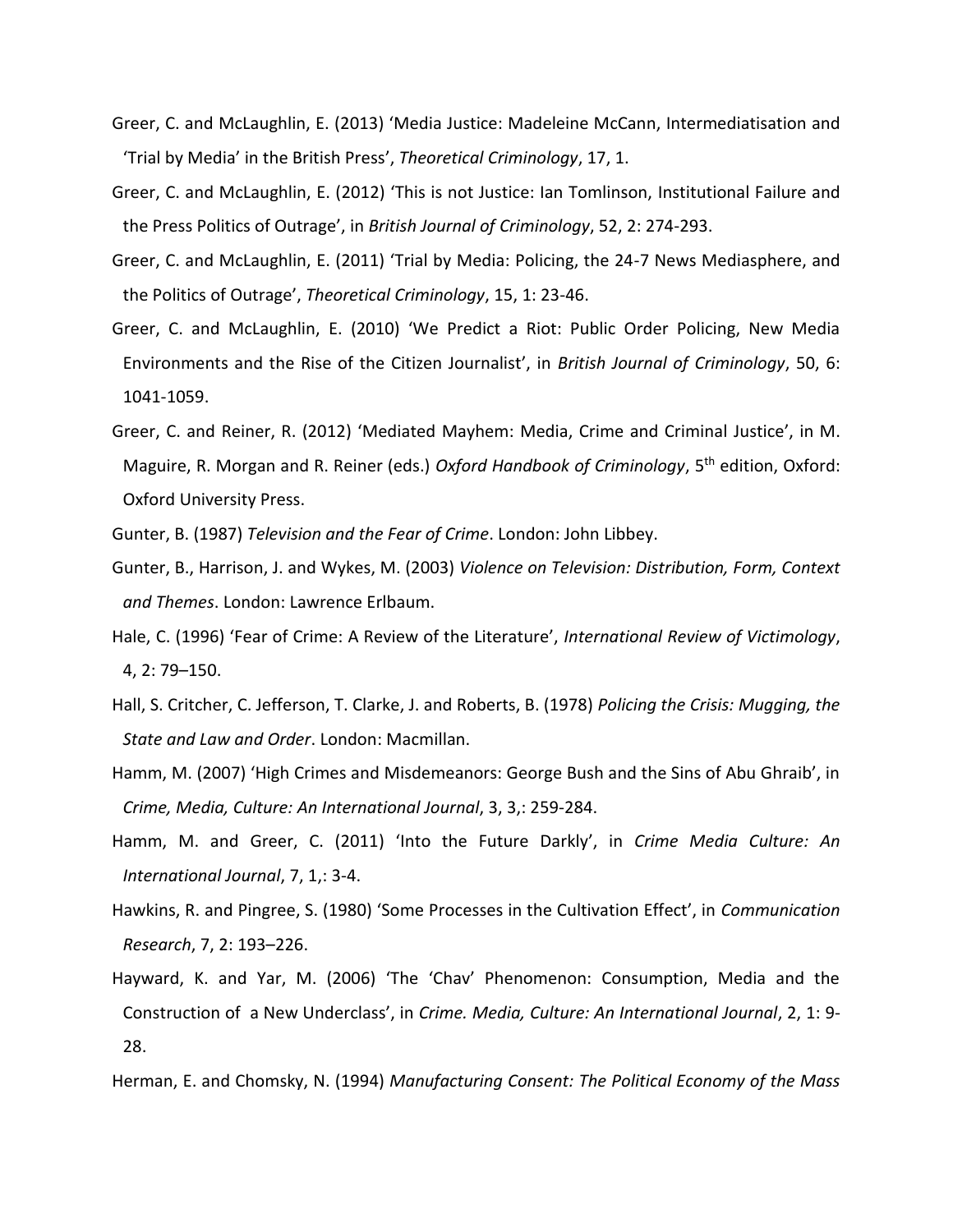- Greer, C. and McLaughlin, E. (2013) 'Media Justice: Madeleine McCann, Intermediatisation and 'Trial by Media' in the British Press', *Theoretical Criminology*, 17, 1.
- Greer, C. and McLaughlin, E. (2012) 'This is not Justice: Ian Tomlinson, Institutional Failure and the Press Politics of Outrage', in *British Journal of Criminology*, 52, 2: 274-293.
- Greer, C. and McLaughlin, E. (2011) 'Trial by Media: Policing, the 24-7 News Mediasphere, and the Politics of Outrage', *Theoretical Criminology*, 15, 1: 23-46.
- Greer, C. and McLaughlin, E. (2010) 'We Predict a Riot: Public Order Policing, New Media Environments and the Rise of the Citizen Journalist', in *British Journal of Criminology*, 50, 6: 1041-1059.
- Greer, C. and Reiner, R. (2012) 'Mediated Mayhem: Media, Crime and Criminal Justice', in M. Maguire, R. Morgan and R. Reiner (eds.) Oxford Handbook of Criminology, 5<sup>th</sup> edition, Oxford: Oxford University Press.
- Gunter, B. (1987) *Television and the Fear of Crime*. London: John Libbey.
- Gunter, B., Harrison, J. and Wykes, M. (2003) *Violence on Television: Distribution, Form, Context and Themes*. London: Lawrence Erlbaum.
- Hale, C. (1996) 'Fear of Crime: A Review of the Literature', *International Review of Victimology*, 4, 2: 79–150.
- Hall, S. Critcher, C. Jefferson, T. Clarke, J. and Roberts, B. (1978) *Policing the Crisis: Mugging, the State and Law and Order*. London: Macmillan.
- Hamm, M. (2007) 'High Crimes and Misdemeanors: George Bush and the Sins of Abu Ghraib', in *Crime, Media, Culture: An International Journal*, 3, 3,: 259-284.
- Hamm, M. and Greer, C. (2011) 'Into the Future Darkly', in *Crime Media Culture: An International Journal*, 7, 1,: 3-4.
- Hawkins, R. and Pingree, S. (1980) 'Some Processes in the Cultivation Effect', in *Communication Research*, 7, 2: 193–226.
- Hayward, K. and Yar, M. (2006) 'The 'Chav' Phenomenon: Consumption, Media and the Construction of a New Underclass', in *Crime. Media, Culture: An International Journal*, 2, 1: 9- 28.
- Herman, E. and Chomsky, N. (1994) *Manufacturing Consent: The Political Economy of the Mass*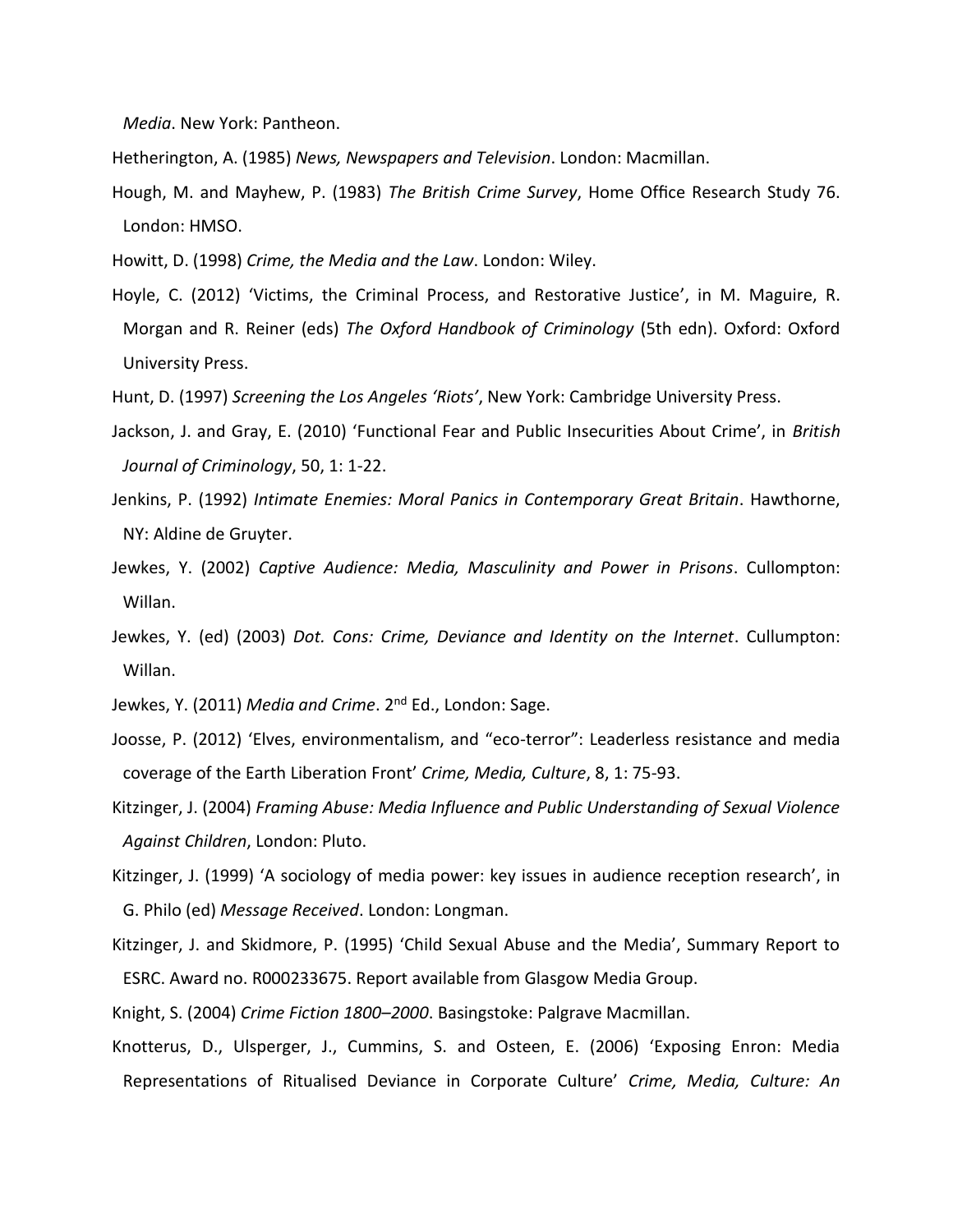*Media*. New York: Pantheon.

- Hetherington, A. (1985) *News, Newspapers and Television*. London: Macmillan.
- Hough, M. and Mayhew, P. (1983) *The British Crime Survey*, Home Office Research Study 76. London: HMSO.
- Howitt, D. (1998) *Crime, the Media and the Law*. London: Wiley.
- Hoyle, C. (2012) 'Victims, the Criminal Process, and Restorative Justice', in M. Maguire, R. Morgan and R. Reiner (eds) *The Oxford Handbook of Criminology* (5th edn). Oxford: Oxford University Press.
- Hunt, D. (1997) *Screening the Los Angeles 'Riots'*, New York: Cambridge University Press.
- Jackson, J. and Gray, E. (2010) 'Functional Fear and Public Insecurities About Crime', in *British Journal of Criminology*, 50, 1: 1-22.
- Jenkins, P. (1992) *Intimate Enemies: Moral Panics in Contemporary Great Britain*. Hawthorne, NY: Aldine de Gruyter.
- Jewkes, Y. (2002) *Captive Audience: Media, Masculinity and Power in Prisons*. Cullompton: Willan.
- Jewkes, Y. (ed) (2003) *Dot. Cons: Crime, Deviance and Identity on the Internet*. Cullumpton: Willan.
- Jewkes, Y. (2011) Media and Crime. 2<sup>nd</sup> Ed., London: Sage.
- Joosse, P. (2012) 'Elves, environmentalism, and "eco-terror": Leaderless resistance and media coverage of the Earth Liberation Front' *Crime, Media, Culture*, 8, 1: 75-93.
- Kitzinger, J. (2004) *Framing Abuse: Media Influence and Public Understanding of Sexual Violence Against Children*, London: Pluto.
- Kitzinger, J. (1999) 'A sociology of media power: key issues in audience reception research', in G. Philo (ed) *Message Received*. London: Longman.
- Kitzinger, J. and Skidmore, P. (1995) 'Child Sexual Abuse and the Media', Summary Report to ESRC. Award no. R000233675. Report available from Glasgow Media Group.
- Knight, S. (2004) *Crime Fiction 1800–2000*. Basingstoke: Palgrave Macmillan.
- Knotterus, D., Ulsperger, J., Cummins, S. and Osteen, E. (2006) 'Exposing Enron: Media Representations of Ritualised Deviance in Corporate Culture' *Crime, Media, Culture: An*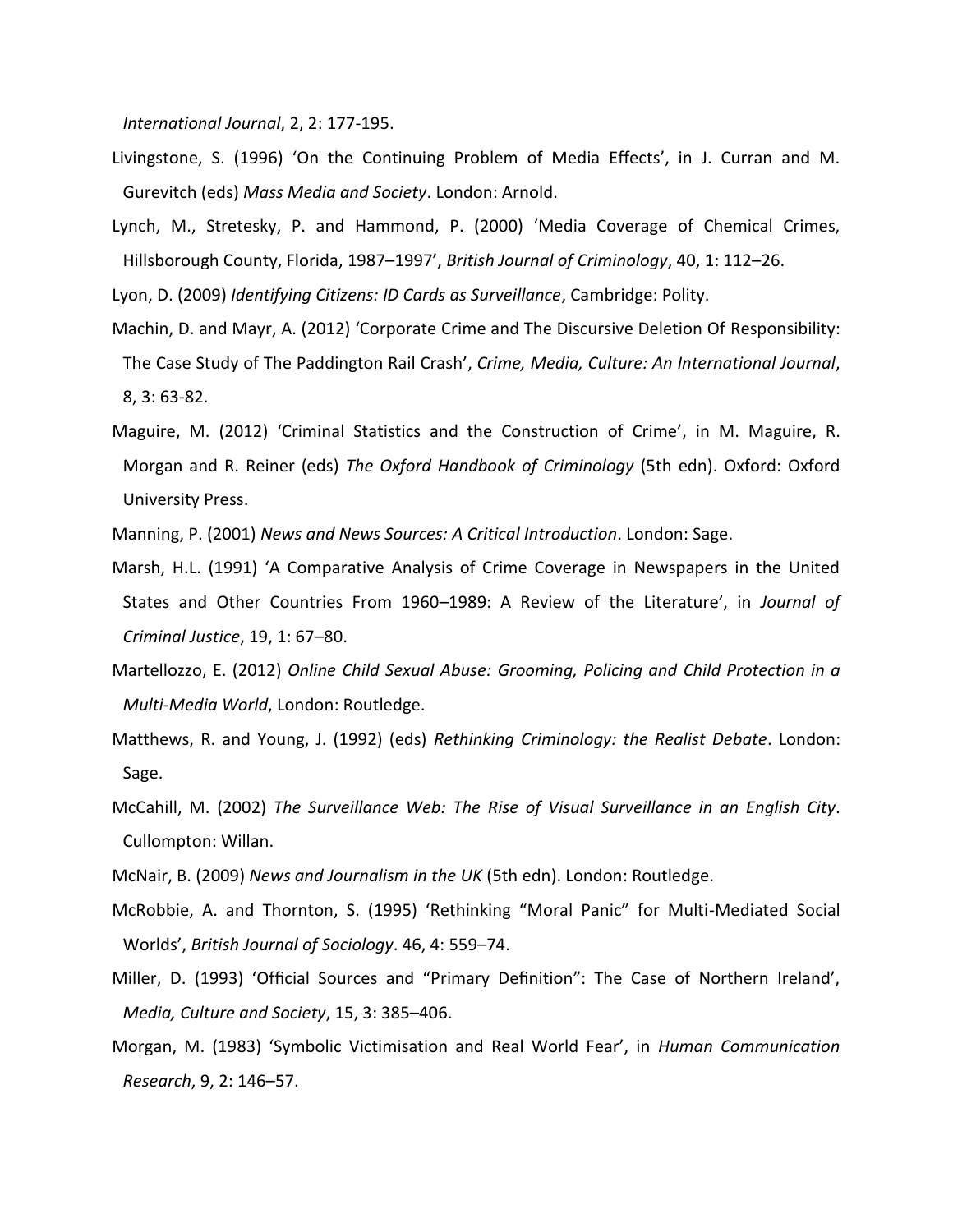*International Journal*, 2, 2: 177-195.

- Livingstone, S. (1996) 'On the Continuing Problem of Media Effects', in J. Curran and M. Gurevitch (eds) *Mass Media and Society*. London: Arnold.
- Lynch, M., Stretesky, P. and Hammond, P. (2000) 'Media Coverage of Chemical Crimes, Hillsborough County, Florida, 1987–1997', *British Journal of Criminology*, 40, 1: 112–26.

Lyon, D. (2009) *Identifying Citizens: ID Cards as Surveillance*, Cambridge: Polity.

- Machin, D. and Mayr, A. (2012) 'Corporate Crime and The Discursive Deletion Of Responsibility: The Case Study of The Paddington Rail Crash', *Crime, Media, Culture: An International Journal*, 8, 3: 63-82.
- Maguire, M. (2012) 'Criminal Statistics and the Construction of Crime', in M. Maguire, R. Morgan and R. Reiner (eds) *The Oxford Handbook of Criminology* (5th edn). Oxford: Oxford University Press.

Manning, P. (2001) *News and News Sources: A Critical Introduction*. London: Sage.

- Marsh, H.L. (1991) 'A Comparative Analysis of Crime Coverage in Newspapers in the United States and Other Countries From 1960–1989: A Review of the Literature', in *Journal of Criminal Justice*, 19, 1: 67–80.
- Martellozzo, E. (2012) *Online Child Sexual Abuse: Grooming, Policing and Child Protection in a Multi-Media World*, London: Routledge.
- Matthews, R. and Young, J. (1992) (eds) *Rethinking Criminology: the Realist Debate*. London: Sage.
- McCahill, M. (2002) *The Surveillance Web: The Rise of Visual Surveillance in an English City*. Cullompton: Willan.
- McNair, B. (2009) *News and Journalism in the UK* (5th edn). London: Routledge.
- McRobbie, A. and Thornton, S. (1995) 'Rethinking "Moral Panic" for Multi-Mediated Social Worlds', *British Journal of Sociology*. 46, 4: 559–74.
- Miller, D. (1993) 'Official Sources and "Primary Definition": The Case of Northern Ireland', *Media, Culture and Society*, 15, 3: 385–406.
- Morgan, M. (1983) 'Symbolic Victimisation and Real World Fear', in *Human Communication Research*, 9, 2: 146–57.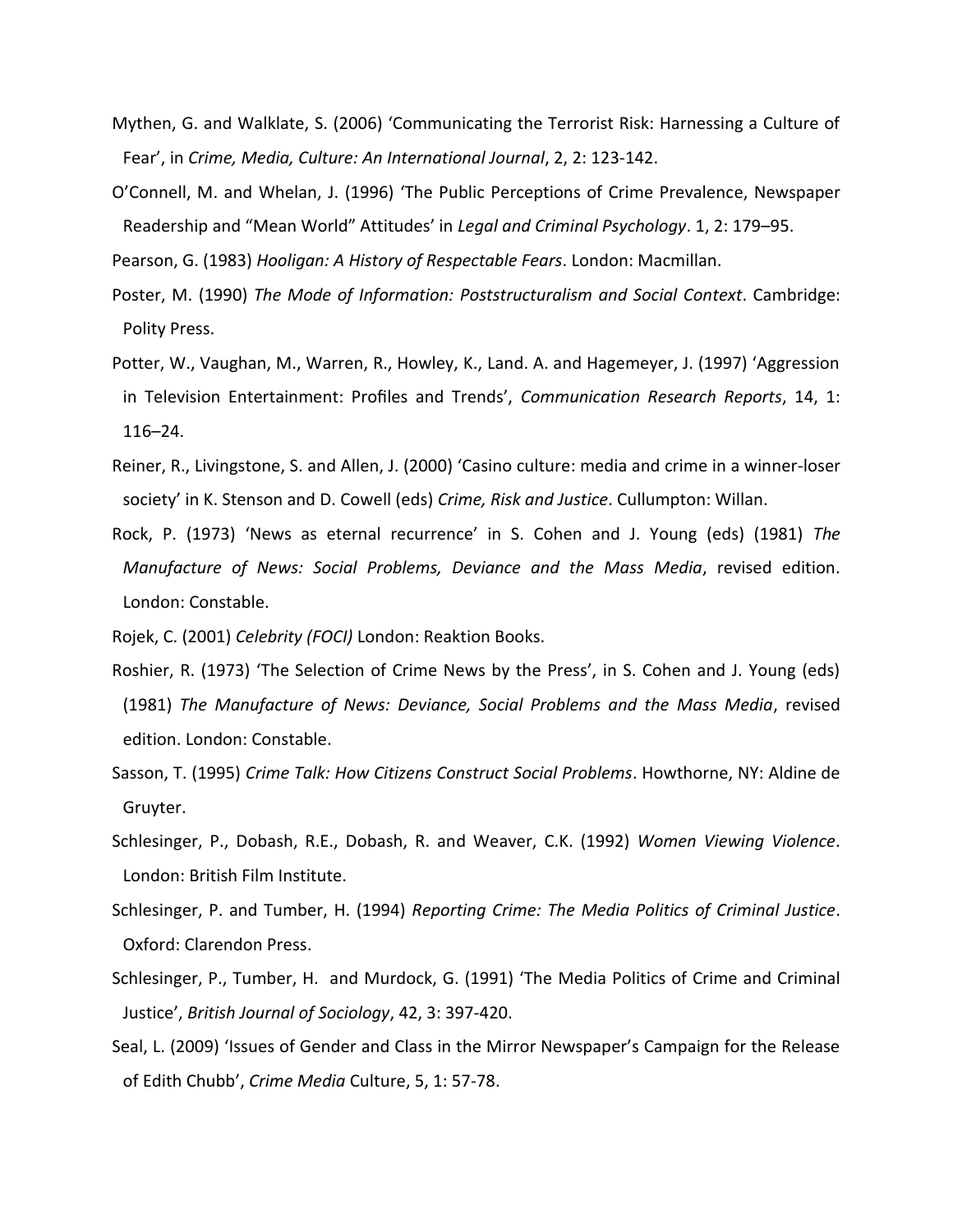- Mythen, G. and Walklate, S. (2006) 'Communicating the Terrorist Risk: Harnessing a Culture of Fear', in *Crime, Media, Culture: An International Journal*, 2, 2: 123-142.
- O'Connell, M. and Whelan, J. (1996) 'The Public Perceptions of Crime Prevalence, Newspaper Readership and "Mean World" Attitudes' in *Legal and Criminal Psychology*. 1, 2: 179–95.

Pearson, G. (1983) *Hooligan: A History of Respectable Fears*. London: Macmillan.

- Poster, M. (1990) *The Mode of Information: Poststructuralism and Social Context*. Cambridge: Polity Press.
- Potter, W., Vaughan, M., Warren, R., Howley, K., Land. A. and Hagemeyer, J. (1997) 'Aggression in Television Entertainment: Profiles and Trends', *Communication Research Reports*, 14, 1: 116–24.
- Reiner, R., Livingstone, S. and Allen, J. (2000) 'Casino culture: media and crime in a winner-loser society' in K. Stenson and D. Cowell (eds) *Crime, Risk and Justice*. Cullumpton: Willan.
- Rock, P. (1973) 'News as eternal recurrence' in S. Cohen and J. Young (eds) (1981) *The Manufacture of News: Social Problems, Deviance and the Mass Media*, revised edition. London: Constable.
- Rojek, C. (2001) *Celebrity (FOCI)* London: Reaktion Books.
- Roshier, R. (1973) 'The Selection of Crime News by the Press', in S. Cohen and J. Young (eds) (1981) *The Manufacture of News: Deviance, Social Problems and the Mass Media*, revised edition. London: Constable.
- Sasson, T. (1995) *Crime Talk: How Citizens Construct Social Problems*. Howthorne, NY: Aldine de Gruyter.
- Schlesinger, P., Dobash, R.E., Dobash, R. and Weaver, C.K. (1992) *Women Viewing Violence*. London: British Film Institute.
- Schlesinger, P. and Tumber, H. (1994) *Reporting Crime: The Media Politics of Criminal Justice*. Oxford: Clarendon Press.
- Schlesinger, P., Tumber, H. and Murdock, G. (1991) 'The Media Politics of Crime and Criminal Justice', *British Journal of Sociology*, 42, 3: 397-420.
- Seal, L. (2009) 'Issues of Gender and Class in the Mirror Newspaper's Campaign for the Release of Edith Chubb', *Crime Media* Culture, 5, 1: 57-78.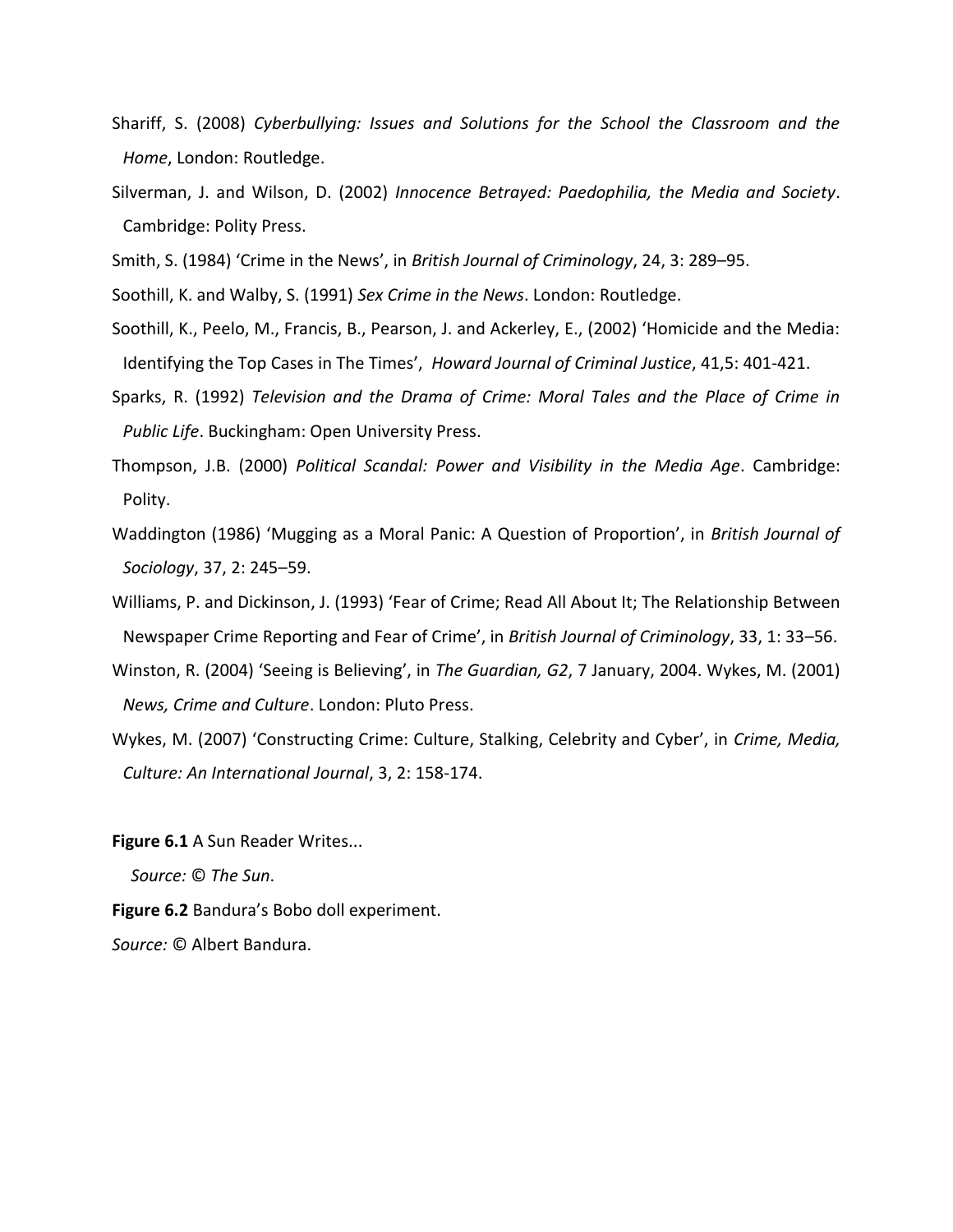- Shariff, S. (2008) *Cyberbullying: Issues and Solutions for the School the Classroom and the Home*, London: Routledge.
- Silverman, J. and Wilson, D. (2002) *Innocence Betrayed: Paedophilia, the Media and Society*. Cambridge: Polity Press.
- Smith, S. (1984) 'Crime in the News', in *British Journal of Criminology*, 24, 3: 289–95.
- Soothill, K. and Walby, S. (1991) *Sex Crime in the News*. London: Routledge.
- Soothill, K., Peelo, M., Francis, B., Pearson, J. and Ackerley, E., (2002) 'Homicide and the Media: Identifying the Top Cases in The Times', *Howard Journal of Criminal Justice*, 41,5: 401-421.
- Sparks, R. (1992) *Television and the Drama of Crime: Moral Tales and the Place of Crime in Public Life*. Buckingham: Open University Press.
- Thompson, J.B. (2000) *Political Scandal: Power and Visibility in the Media Age*. Cambridge: Polity.
- Waddington (1986) 'Mugging as a Moral Panic: A Question of Proportion', in *British Journal of Sociology*, 37, 2: 245–59.
- Williams, P. and Dickinson, J. (1993) 'Fear of Crime; Read All About It; The Relationship Between Newspaper Crime Reporting and Fear of Crime', in *British Journal of Criminology*, 33, 1: 33–56.
- Winston, R. (2004) 'Seeing is Believing', in *The Guardian, G2*, 7 January, 2004. Wykes, M. (2001) *News, Crime and Culture*. London: Pluto Press.
- Wykes, M. (2007) 'Constructing Crime: Culture, Stalking, Celebrity and Cyber', in *Crime, Media, Culture: An International Journal*, 3, 2: 158-174.

**Figure 6.1** A Sun Reader Writes...

*Source:* © *The Sun*.

**Figure 6.2** Bandura's Bobo doll experiment.

*Source:* © Albert Bandura.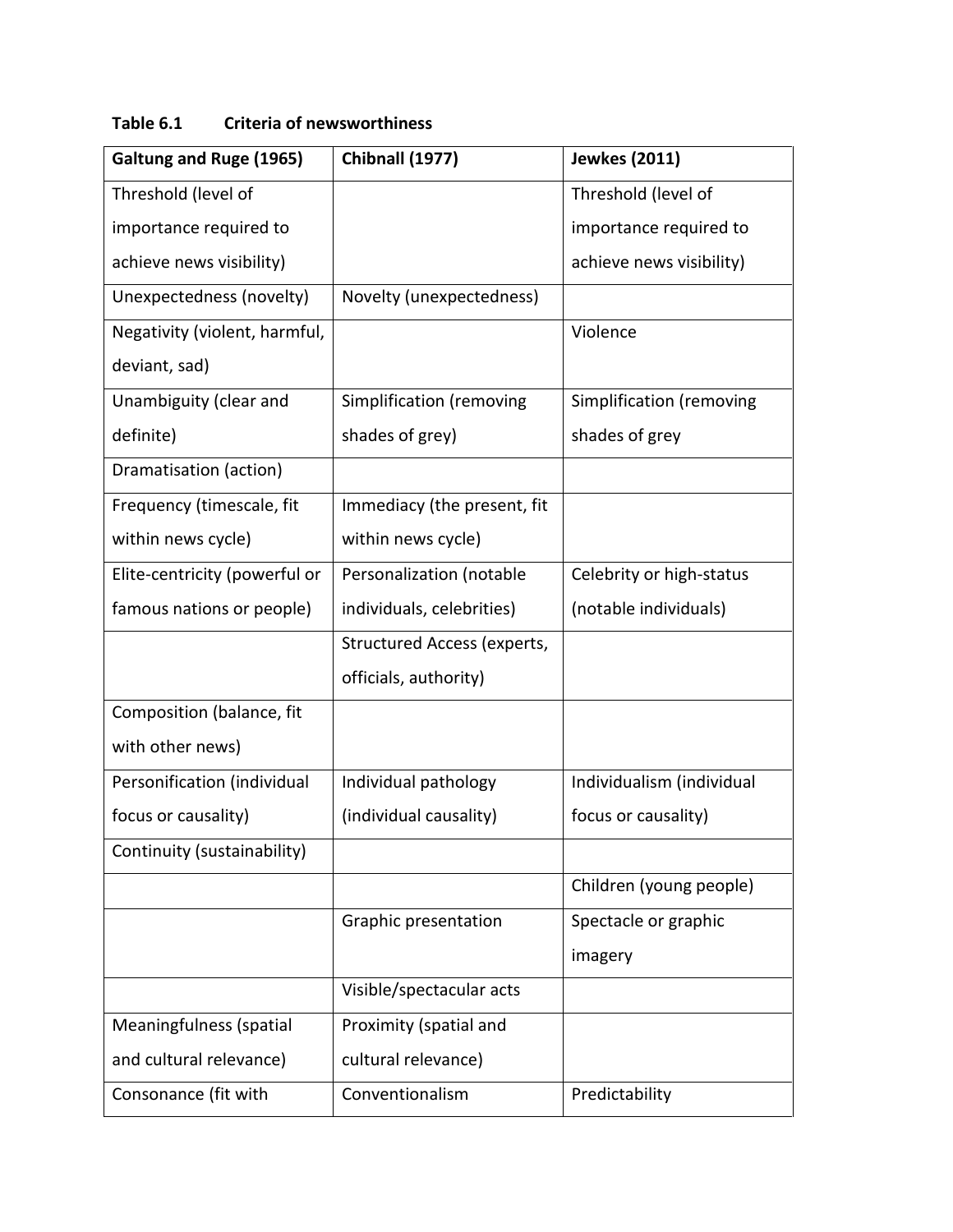# **Table 6.1 Criteria of newsworthiness**

| <b>Galtung and Ruge (1965)</b> | <b>Chibnall (1977)</b>      | <b>Jewkes (2011)</b>      |
|--------------------------------|-----------------------------|---------------------------|
| Threshold (level of            |                             | Threshold (level of       |
| importance required to         |                             | importance required to    |
| achieve news visibility)       |                             | achieve news visibility)  |
| Unexpectedness (novelty)       | Novelty (unexpectedness)    |                           |
| Negativity (violent, harmful,  |                             | Violence                  |
| deviant, sad)                  |                             |                           |
| Unambiguity (clear and         | Simplification (removing    | Simplification (removing  |
| definite)                      | shades of grey)             | shades of grey            |
| Dramatisation (action)         |                             |                           |
| Frequency (timescale, fit      | Immediacy (the present, fit |                           |
| within news cycle)             | within news cycle)          |                           |
| Elite-centricity (powerful or  | Personalization (notable    | Celebrity or high-status  |
| famous nations or people)      | individuals, celebrities)   | (notable individuals)     |
|                                | Structured Access (experts, |                           |
|                                | officials, authority)       |                           |
| Composition (balance, fit      |                             |                           |
| with other news)               |                             |                           |
| Personification (individual    | Individual pathology        | Individualism (individual |
| focus or causality)            | (individual causality)      | focus or causality)       |
| Continuity (sustainability)    |                             |                           |
|                                |                             | Children (young people)   |
|                                | Graphic presentation        | Spectacle or graphic      |
|                                |                             | imagery                   |
|                                | Visible/spectacular acts    |                           |
| Meaningfulness (spatial        | Proximity (spatial and      |                           |
| and cultural relevance)        | cultural relevance)         |                           |
| Consonance (fit with           | Conventionalism             | Predictability            |